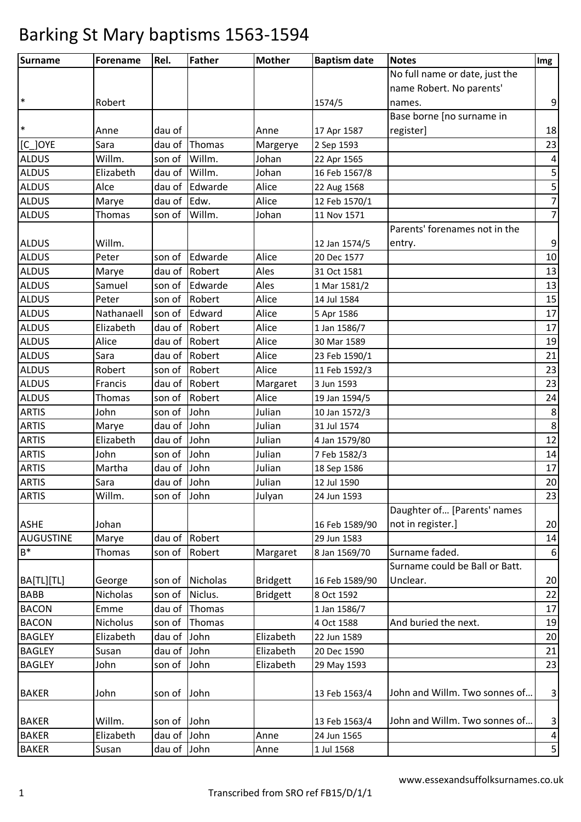| <b>Surname</b>   | <b>Forename</b> | Rel.        | <b>Father</b> | <b>Mother</b>   | <b>Baptism date</b> | <b>Notes</b>                   | Img            |
|------------------|-----------------|-------------|---------------|-----------------|---------------------|--------------------------------|----------------|
|                  |                 |             |               |                 |                     | No full name or date, just the |                |
|                  |                 |             |               |                 |                     | name Robert. No parents'       |                |
| $\ast$           | Robert          |             |               |                 | 1574/5              | names.                         | 9              |
|                  |                 |             |               |                 |                     | Base borne [no surname in      |                |
| $\ast$           | Anne            | dau of      |               | Anne            | 17 Apr 1587         | register]                      | 18             |
| $[C_$ JOYE       | Sara            | dau of      | Thomas        | Margerye        | 2 Sep 1593          |                                | 23             |
| <b>ALDUS</b>     | Willm.          | son of      | Willm.        | Johan           | 22 Apr 1565         |                                | 4              |
| <b>ALDUS</b>     | Elizabeth       | dau of      | Willm.        | Johan           | 16 Feb 1567/8       |                                | 5              |
| <b>ALDUS</b>     | Alce            | dau of      | Edwarde       | Alice           | 22 Aug 1568         |                                | 5              |
| <b>ALDUS</b>     | Marye           | dau of      | Edw.          | Alice           | 12 Feb 1570/1       |                                | $\overline{7}$ |
| <b>ALDUS</b>     | Thomas          | son of      | Willm.        | Johan           | 11 Nov 1571         |                                | $\overline{7}$ |
|                  |                 |             |               |                 |                     | Parents' forenames not in the  |                |
| <b>ALDUS</b>     | Willm.          |             |               |                 | 12 Jan 1574/5       | entry.                         | 9              |
| <b>ALDUS</b>     | Peter           | son of      | Edwarde       | Alice           | 20 Dec 1577         |                                | 10             |
| <b>ALDUS</b>     | Marye           | dau of      | Robert        | Ales            | 31 Oct 1581         |                                | 13             |
| <b>ALDUS</b>     | Samuel          | son of      | Edwarde       | Ales            | 1 Mar 1581/2        |                                | 13             |
| <b>ALDUS</b>     | Peter           | son of      | Robert        | Alice           | 14 Jul 1584         |                                | 15             |
| <b>ALDUS</b>     | Nathanaell      | son of      | Edward        | Alice           | 5 Apr 1586          |                                | 17             |
| <b>ALDUS</b>     | Elizabeth       | dau of      | Robert        | Alice           | 1 Jan 1586/7        |                                | 17             |
| <b>ALDUS</b>     | Alice           | dau of      | Robert        | Alice           | 30 Mar 1589         |                                | 19             |
| <b>ALDUS</b>     | Sara            | dau of      | Robert        | Alice           | 23 Feb 1590/1       |                                | 21             |
| <b>ALDUS</b>     | Robert          | son of      | Robert        | Alice           | 11 Feb 1592/3       |                                | 23             |
| <b>ALDUS</b>     | Francis         | dau of      | Robert        | Margaret        | 3 Jun 1593          |                                | 23             |
| <b>ALDUS</b>     | Thomas          | son of      | Robert        | Alice           | 19 Jan 1594/5       |                                | 24             |
| <b>ARTIS</b>     | John            | son of      | John          | Julian          | 10 Jan 1572/3       |                                | 8              |
| <b>ARTIS</b>     | Marye           | dau of      | John          | Julian          | 31 Jul 1574         |                                | 8              |
| <b>ARTIS</b>     | Elizabeth       | dau of      | John          | Julian          | 4 Jan 1579/80       |                                | 12             |
| <b>ARTIS</b>     | John            | son of      | John          | Julian          | 7 Feb 1582/3        |                                | 14             |
| <b>ARTIS</b>     | Martha          | dau of      | John          | Julian          | 18 Sep 1586         |                                | 17             |
| <b>ARTIS</b>     | Sara            | dau of John |               | Julian          | 12 Jul 1590         |                                | 20             |
| <b>ARTIS</b>     | Willm.          | son of John |               | Julyan          | 24 Jun 1593         |                                | 23             |
|                  |                 |             |               |                 |                     | Daughter of [Parents' names    |                |
| <b>ASHE</b>      | Johan           |             |               |                 | 16 Feb 1589/90      | not in register.]              | 20             |
| <b>AUGUSTINE</b> | Marye           | dau of      | Robert        |                 | 29 Jun 1583         |                                | 14             |
| $B^*$            | <b>Thomas</b>   | son of      | Robert        | Margaret        | 8 Jan 1569/70       | Surname faded.                 | 6              |
|                  |                 |             |               |                 |                     | Surname could be Ball or Batt. |                |
| BA[TL][TL]       | George          | son of      | Nicholas      | <b>Bridgett</b> | 16 Feb 1589/90      | Unclear.                       | 20             |
| <b>BABB</b>      | Nicholas        | son of      | Niclus.       | <b>Bridgett</b> | 8 Oct 1592          |                                | 22             |
| <b>BACON</b>     | Emme            | dau of      | Thomas        |                 | 1 Jan 1586/7        |                                | 17             |
| <b>BACON</b>     | Nicholus        | son of      | Thomas        |                 | 4 Oct 1588          | And buried the next.           | 19             |
| <b>BAGLEY</b>    | Elizabeth       | dau of      | John          | Elizabeth       | 22 Jun 1589         |                                | 20             |
| <b>BAGLEY</b>    | Susan           | dau of      | John          | Elizabeth       | 20 Dec 1590         |                                | 21             |
| <b>BAGLEY</b>    | John            | son of      | John          | Elizabeth       | 29 May 1593         |                                | 23             |
|                  |                 |             |               |                 |                     |                                |                |
| <b>BAKER</b>     | John            | son of      | John          |                 | 13 Feb 1563/4       | John and Willm. Two sonnes of  | 3              |
| <b>BAKER</b>     | Willm.          | son of      | John          |                 | 13 Feb 1563/4       | John and Willm. Two sonnes of  | 3              |
| <b>BAKER</b>     | Elizabeth       | dau of      | John          | Anne            | 24 Jun 1565         |                                |                |
|                  |                 |             |               |                 |                     |                                | 4<br>5         |
| <b>BAKER</b>     | Susan           | dau of      | John          | Anne            | 1 Jul 1568          |                                |                |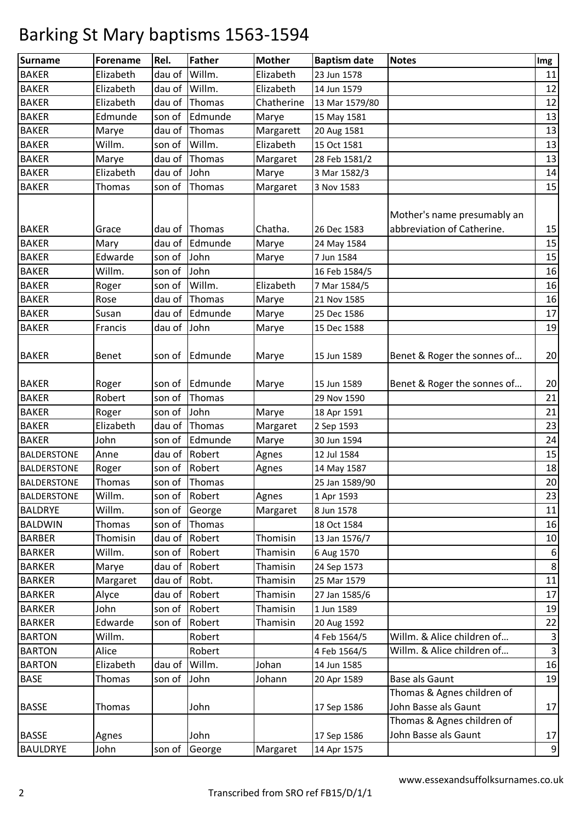| Surname                        | <b>Forename</b>   | Rel.        | <b>Father</b>    | <b>Mother</b> | <b>Baptism date</b>          | <b>Notes</b>                                              | Img              |
|--------------------------------|-------------------|-------------|------------------|---------------|------------------------------|-----------------------------------------------------------|------------------|
| <b>BAKER</b>                   | Elizabeth         | dau of      | Willm.           | Elizabeth     | 23 Jun 1578                  |                                                           | 11               |
| <b>BAKER</b>                   | Elizabeth         | dau of      | Willm.           | Elizabeth     | 14 Jun 1579                  |                                                           | 12               |
| <b>BAKER</b>                   | Elizabeth         | dau of      | Thomas           | Chatherine    | 13 Mar 1579/80               |                                                           | 12               |
| <b>BAKER</b>                   | Edmunde           | son of      | Edmunde          | Marye         | 15 May 1581                  |                                                           | 13               |
| <b>BAKER</b>                   | Marye             | dau of      | Thomas           | Margarett     | 20 Aug 1581                  |                                                           | 13               |
| <b>BAKER</b>                   | Willm.            | son of      | Willm.           | Elizabeth     | 15 Oct 1581                  |                                                           | 13               |
| <b>BAKER</b>                   | Marye             | dau of      | Thomas           | Margaret      | 28 Feb 1581/2                |                                                           | 13               |
| <b>BAKER</b>                   | Elizabeth         | dau of      | John             | Marye         | 3 Mar 1582/3                 |                                                           | 14               |
| <b>BAKER</b>                   | <b>Thomas</b>     | son of      | Thomas           | Margaret      | 3 Nov 1583                   |                                                           | 15               |
| <b>BAKER</b>                   | Grace             | dau of      | Thomas           | Chatha.       | 26 Dec 1583                  | Mother's name presumably an<br>abbreviation of Catherine. | 15               |
| <b>BAKER</b>                   | Mary              | dau of      | Edmunde          | Marye         | 24 May 1584                  |                                                           | 15               |
| <b>BAKER</b>                   | Edwarde           | son of John |                  | Marye         | 7 Jun 1584                   |                                                           | 15               |
| <b>BAKER</b>                   | Willm.            | son of      | John             |               | 16 Feb 1584/5                |                                                           | 16               |
| <b>BAKER</b>                   | Roger             | son of      | Willm.           | Elizabeth     | 7 Mar 1584/5                 |                                                           | 16               |
| <b>BAKER</b>                   | Rose              | dau of      | Thomas           | Marye         | 21 Nov 1585                  |                                                           | 16               |
| <b>BAKER</b>                   | Susan             | dau of      | Edmunde          | Marye         | 25 Dec 1586                  |                                                           | 17               |
| <b>BAKER</b>                   | Francis           | dau of John |                  | Marye         | 15 Dec 1588                  |                                                           | 19               |
| <b>BAKER</b>                   | Benet             | son of      | Edmunde          | Marye         | 15 Jun 1589                  | Benet & Roger the sonnes of                               | 20               |
| <b>BAKER</b>                   | Roger             | son of      | Edmunde          | Marye         | 15 Jun 1589                  | Benet & Roger the sonnes of                               | 20               |
| <b>BAKER</b>                   | Robert            | son of      | Thomas           |               | 29 Nov 1590                  |                                                           | 21               |
| <b>BAKER</b>                   | Roger             | son of      | John             | Marye         | 18 Apr 1591                  |                                                           | 21               |
| <b>BAKER</b>                   | Elizabeth         | dau of      | Thomas           | Margaret      | 2 Sep 1593                   |                                                           | 23               |
| <b>BAKER</b>                   | John              | son of      | Edmunde          | Marye         | 30 Jun 1594                  |                                                           | 24               |
| <b>BALDERSTONE</b>             | Anne              | dau of      | Robert           | Agnes         | 12 Jul 1584                  |                                                           | 15               |
| <b>BALDERSTONE</b>             | Roger             | son of      | Robert           | Agnes         | 14 May 1587                  |                                                           | 18               |
| <b>BALDERSTONE</b>             | Thomas            |             | son of Thomas    |               | 25 Jan 1589/90               |                                                           | 20               |
| <b>BALDERSTONE</b>             | Willm.            |             | son of Robert    | Agnes         | 1 Apr 1593                   |                                                           | 23               |
| <b>BALDRYE</b>                 | Willm.            | son of      | George           | Margaret      | 8 Jun 1578                   |                                                           | 11               |
| <b>BALDWIN</b>                 | Thomas            | son of      | Thomas           |               | 18 Oct 1584                  |                                                           | 16               |
| <b>BARBER</b>                  | Thomisin          | dau of      | Robert           | Thomisin      | 13 Jan 1576/7                |                                                           | 10               |
| <b>BARKER</b>                  | Willm.            | son of      | Robert           | Thamisin      | 6 Aug 1570                   |                                                           | 6                |
| <b>BARKER</b>                  | Marye             | dau of      | Robert           | Thamisin      | 24 Sep 1573                  |                                                           | 8                |
| <b>BARKER</b>                  | Margaret          | dau of      | Robt.            | Thamisin      | 25 Mar 1579                  |                                                           | 11               |
| <b>BARKER</b>                  | Alyce             | dau of      | Robert           | Thamisin      | 27 Jan 1585/6                |                                                           | 17               |
| <b>BARKER</b>                  | John              | son of      | Robert           | Thamisin      | 1 Jun 1589                   |                                                           | 19               |
| <b>BARKER</b><br><b>BARTON</b> | Edwarde<br>Willm. | son of      | Robert<br>Robert | Thamisin      | 20 Aug 1592                  | Willm. & Alice children of                                | 22               |
| <b>BARTON</b>                  | Alice             |             | Robert           |               | 4 Feb 1564/5<br>4 Feb 1564/5 | Willm. & Alice children of                                | 3<br>$\mathsf 3$ |
| <b>BARTON</b>                  | Elizabeth         | dau of      | Willm.           | Johan         | 14 Jun 1585                  |                                                           | 16               |
| <b>BASE</b>                    |                   | son of      | John             | Johann        |                              | Base als Gaunt                                            | 19               |
|                                | Thomas            |             |                  |               | 20 Apr 1589                  | Thomas & Agnes children of                                |                  |
| <b>BASSE</b>                   | Thomas            |             | John             |               | 17 Sep 1586                  | John Basse als Gaunt                                      | 17               |
|                                |                   |             |                  |               |                              | Thomas & Agnes children of                                |                  |
| <b>BASSE</b>                   | Agnes             |             | John             |               | 17 Sep 1586                  | John Basse als Gaunt                                      | 17               |
| <b>BAULDRYE</b>                | John              | son of      | George           | Margaret      | 14 Apr 1575                  |                                                           | 9                |
|                                |                   |             |                  |               |                              |                                                           |                  |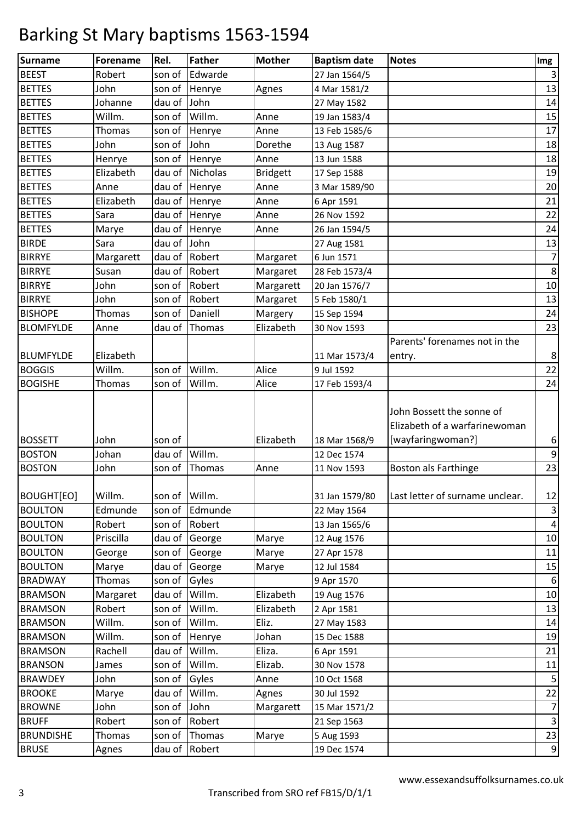| <b>Surname</b>   | <b>Forename</b> | Rel.          | <b>Father</b>  | <b>Mother</b>   | <b>Baptism date</b> | <b>Notes</b>                                                                    | Img            |
|------------------|-----------------|---------------|----------------|-----------------|---------------------|---------------------------------------------------------------------------------|----------------|
| <b>BEEST</b>     | Robert          | son of        | Edwarde        |                 | 27 Jan 1564/5       |                                                                                 | $\mathbf{3}$   |
| <b>BETTES</b>    | John            | son of        | Henrye         | Agnes           | 4 Mar 1581/2        |                                                                                 | 13             |
| <b>BETTES</b>    | Johanne         | dau of        | John           |                 | 27 May 1582         |                                                                                 | 14             |
| <b>BETTES</b>    | Willm.          | son of        | Willm.         | Anne            | 19 Jan 1583/4       |                                                                                 | 15             |
| <b>BETTES</b>    | Thomas          | son of        | Henrye         | Anne            | 13 Feb 1585/6       |                                                                                 | 17             |
| <b>BETTES</b>    | John            | son of        | John           | Dorethe         | 13 Aug 1587         |                                                                                 | 18             |
| <b>BETTES</b>    | Henrye          | son of        | Henrye         | Anne            | 13 Jun 1588         |                                                                                 | 18             |
| <b>BETTES</b>    | Elizabeth       | dau of        | Nicholas       | <b>Bridgett</b> | 17 Sep 1588         |                                                                                 | 19             |
| <b>BETTES</b>    | Anne            |               | dau of Henrye  | Anne            | 3 Mar 1589/90       |                                                                                 | 20             |
| <b>BETTES</b>    | Elizabeth       |               | dau of Henrye  | Anne            | 6 Apr 1591          |                                                                                 | 21             |
| <b>BETTES</b>    | Sara            |               | dau of Henrye  | Anne            | 26 Nov 1592         |                                                                                 | 22             |
| <b>BETTES</b>    | Marye           |               | dau of Henrye  | Anne            | 26 Jan 1594/5       |                                                                                 | 24             |
| <b>BIRDE</b>     | Sara            | dau of John   |                |                 | 27 Aug 1581         |                                                                                 | 13             |
| <b>BIRRYE</b>    | Margarett       |               | dau of Robert  | Margaret        | 6 Jun 1571          |                                                                                 | $\overline{7}$ |
| <b>BIRRYE</b>    | Susan           | dau of        | Robert         | Margaret        | 28 Feb 1573/4       |                                                                                 | $\,8\,$        |
| <b>BIRRYE</b>    | John            | son of        | Robert         | Margarett       | 20 Jan 1576/7       |                                                                                 | $10\,$         |
| <b>BIRRYE</b>    | John            | son of        | Robert         | Margaret        | 5 Feb 1580/1        |                                                                                 | 13             |
| <b>BISHOPE</b>   | <b>Thomas</b>   | son of        | Daniell        | Margery         | 15 Sep 1594         |                                                                                 | 24             |
| <b>BLOMFYLDE</b> | Anne            | dau of        | Thomas         | Elizabeth       | 30 Nov 1593         |                                                                                 | 23             |
|                  |                 |               |                |                 |                     | Parents' forenames not in the                                                   |                |
| <b>BLUMFYLDE</b> | Elizabeth       |               |                |                 | 11 Mar 1573/4       | entry.                                                                          | $\bf 8$        |
| <b>BOGGIS</b>    | Willm.          | son of        | Willm.         | Alice           | 9 Jul 1592          |                                                                                 | 22             |
| <b>BOGISHE</b>   | Thomas          | son of        | Willm.         | Alice           | 17 Feb 1593/4       |                                                                                 | 24             |
| <b>BOSSETT</b>   | John            | son of        |                | Elizabeth       | 18 Mar 1568/9       | John Bossett the sonne of<br>Elizabeth of a warfarinewoman<br>[wayfaringwoman?] | 6              |
| <b>BOSTON</b>    | Johan           | dau of        | Willm.         |                 | 12 Dec 1574         |                                                                                 | $\mathsf 9$    |
| <b>BOSTON</b>    | John            | son of        | Thomas         | Anne            | 11 Nov 1593         | <b>Boston als Farthinge</b>                                                     | 23             |
| BOUGHT[EO]       | Willm.          | son of Willm. |                |                 | 31 Jan 1579/80      | Last letter of surname unclear.                                                 | 12             |
| <b>BOULTON</b>   | Edmunde         |               | son of Edmunde |                 | 22 May 1564         |                                                                                 | 3              |
| <b>BOULTON</b>   | Robert          |               | son of Robert  |                 | 13 Jan 1565/6       |                                                                                 | $\pmb{4}$      |
| <b>BOULTON</b>   | Priscilla       |               | dau of George  | Marye           | 12 Aug 1576         |                                                                                 | 10             |
| <b>BOULTON</b>   | George          | son of        | George         | Marye           | 27 Apr 1578         |                                                                                 | 11             |
| <b>BOULTON</b>   | Marye           | dau of        | George         | Marye           | 12 Jul 1584         |                                                                                 | 15             |
| <b>BRADWAY</b>   | Thomas          | son of Gyles  |                |                 | 9 Apr 1570          |                                                                                 | 6              |
| <b>BRAMSON</b>   | Margaret        | dau of        | Willm.         | Elizabeth       | 19 Aug 1576         |                                                                                 | 10             |
| <b>BRAMSON</b>   | Robert          | son of        | Willm.         | Elizabeth       | 2 Apr 1581          |                                                                                 | 13             |
| <b>BRAMSON</b>   | Willm.          | son of        | Willm.         | Eliz.           | 27 May 1583         |                                                                                 | 14             |
| <b>BRAMSON</b>   | Willm.          | son of        | Henrye         | Johan           | 15 Dec 1588         |                                                                                 | 19             |
| <b>BRAMSON</b>   | Rachell         | dau of Willm. |                | Eliza.          | 6 Apr 1591          |                                                                                 | 21             |
| <b>BRANSON</b>   | James           | son of        | Willm.         | Elizab.         | 30 Nov 1578         |                                                                                 | 11             |
| <b>BRAWDEY</b>   | John            | son of        | Gyles          | Anne            | 10 Oct 1568         |                                                                                 | 5              |
| <b>BROOKE</b>    | Marye           | dau of        | Willm.         | Agnes           | 30 Jul 1592         |                                                                                 | 22             |
| <b>BROWNE</b>    | John            | son of John   |                | Margarett       | 15 Mar 1571/2       |                                                                                 | $\overline{7}$ |
| <b>BRUFF</b>     | Robert          |               | son of Robert  |                 | 21 Sep 1563         |                                                                                 | $\mathsf{3}$   |
| <b>BRUNDISHE</b> | Thomas          | son of        | Thomas         | Marye           | 5 Aug 1593          |                                                                                 | 23             |
| <b>BRUSE</b>     | Agnes           |               | dau of Robert  |                 | 19 Dec 1574         |                                                                                 | 9              |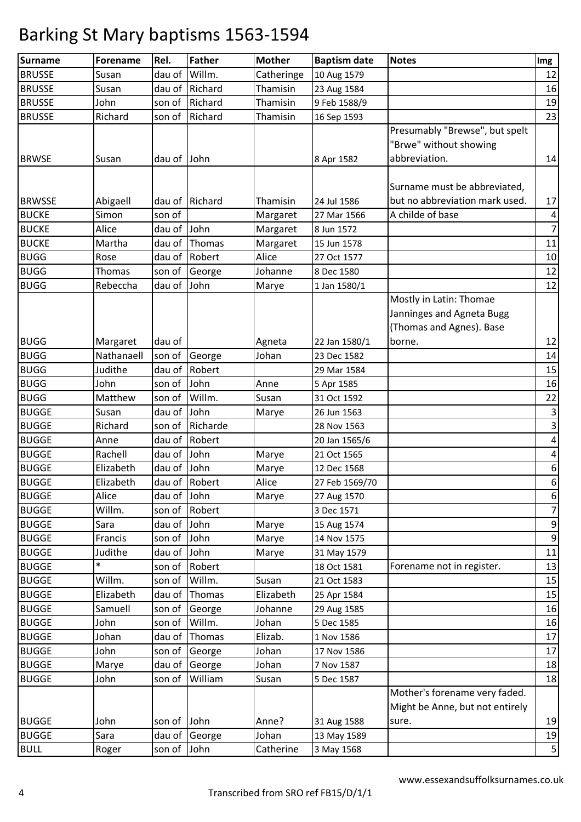| <b>Surname</b> | <b>Forename</b> | Rel.        | <b>Father</b>  | <b>Mother</b> | <b>Baptism date</b> | <b>Notes</b>                    | Img              |
|----------------|-----------------|-------------|----------------|---------------|---------------------|---------------------------------|------------------|
| <b>BRUSSE</b>  | Susan           | dau of      | Willm.         | Catheringe    | 10 Aug 1579         |                                 | 12               |
| <b>BRUSSE</b>  | Susan           | dau of      | Richard        | Thamisin      | 23 Aug 1584         |                                 | 16               |
| <b>BRUSSE</b>  | John            | son of      | Richard        | Thamisin      | 9 Feb 1588/9        |                                 | 19               |
| <b>BRUSSE</b>  | Richard         | son of      | Richard        | Thamisin      | 16 Sep 1593         |                                 | 23               |
|                |                 |             |                |               |                     | Presumably "Brewse", but spelt  |                  |
|                |                 |             |                |               |                     | "Brwe" without showing          |                  |
| <b>BRWSE</b>   | Susan           | dau of      | John           |               | 8 Apr 1582          | abbreviation.                   | 14               |
|                |                 |             |                |               |                     |                                 |                  |
|                |                 |             |                |               |                     | Surname must be abbreviated,    |                  |
| <b>BRWSSE</b>  | Abigaell        |             | dau of Richard | Thamisin      | 24 Jul 1586         | but no abbreviation mark used.  | 17               |
| <b>BUCKE</b>   | Simon           | son of      |                | Margaret      | 27 Mar 1566         | A childe of base                | 4                |
| <b>BUCKE</b>   | Alice           | dau of      | John           | Margaret      | 8 Jun 1572          |                                 | $\overline{7}$   |
| <b>BUCKE</b>   | Martha          | dau of      | Thomas         | Margaret      | 15 Jun 1578         |                                 | 11               |
| <b>BUGG</b>    | Rose            | dau of      | Robert         | Alice         | 27 Oct 1577         |                                 | 10               |
| <b>BUGG</b>    | Thomas          | son of      | George         | Johanne       | 8 Dec 1580          |                                 | 12               |
| <b>BUGG</b>    | Rebeccha        | dau of      | John           | Marye         | 1 Jan 1580/1        |                                 | 12               |
|                |                 |             |                |               |                     | Mostly in Latin: Thomae         |                  |
|                |                 |             |                |               |                     | Janninges and Agneta Bugg       |                  |
|                |                 |             |                |               |                     | (Thomas and Agnes). Base        |                  |
| <b>BUGG</b>    | Margaret        | dau of      |                | Agneta        | 22 Jan 1580/1       | borne.                          | 12               |
| <b>BUGG</b>    | Nathanaell      | son of      | George         | Johan         | 23 Dec 1582         |                                 | 14               |
| <b>BUGG</b>    | Judithe         | dau of      | Robert         |               | 29 Mar 1584         |                                 | 15               |
| <b>BUGG</b>    | John            | son of      | John           | Anne          | 5 Apr 1585          |                                 | 16               |
| <b>BUGG</b>    | Matthew         | son of      | Willm.         | Susan         | 31 Oct 1592         |                                 | 22               |
| <b>BUGGE</b>   | Susan           | dau of      | John           | Marye         | 26 Jun 1563         |                                 | $\mathsf 3$      |
| <b>BUGGE</b>   | Richard         | son of      | Richarde       |               | 28 Nov 1563         |                                 | $\mathsf 3$      |
| <b>BUGGE</b>   | Anne            | dau of      | Robert         |               | 20 Jan 1565/6       |                                 | $\pmb{4}$        |
| <b>BUGGE</b>   | Rachell         | dau of      | John           | Marye         | 21 Oct 1565         |                                 | 4                |
| <b>BUGGE</b>   | Elizabeth       | dau of      | John           | Marye         | 12 Dec 1568         |                                 | 6                |
| <b>BUGGE</b>   | Elizabeth       |             | dau of Robert  | Alice         | 27 Feb 1569/70      |                                 | 6                |
| <b>BUGGE</b>   | Alice           | dau of John |                | Marye         | 27 Aug 1570         |                                 | 6                |
| <b>BUGGE</b>   | Willm.          | son of      | Robert         |               | 3 Dec 1571          |                                 | $\overline{7}$   |
| <b>BUGGE</b>   | Sara            | dau of      | John           | Marye         | 15 Aug 1574         |                                 | 9                |
| <b>BUGGE</b>   | Francis         | son of      | John           | Marye         | 14 Nov 1575         |                                 | $\boldsymbol{9}$ |
| <b>BUGGE</b>   | Judithe         | dau of      | John           | Marye         | 31 May 1579         |                                 | $11\,$           |
| <b>BUGGE</b>   | $\ast$          | son of      | Robert         |               | 18 Oct 1581         | Forename not in register.       | 13               |
| <b>BUGGE</b>   | Willm.          | son of      | Willm.         | Susan         | 21 Oct 1583         |                                 | 15               |
| <b>BUGGE</b>   | Elizabeth       | dau of      | Thomas         | Elizabeth     | 25 Apr 1584         |                                 | 15               |
| <b>BUGGE</b>   | Samuell         | son of      | George         | Johanne       | 29 Aug 1585         |                                 | 16               |
| <b>BUGGE</b>   | John            | son of      | Willm.         | Johan         | 5 Dec 1585          |                                 | 16               |
| <b>BUGGE</b>   | Johan           | dau of      | Thomas         | Elizab.       | 1 Nov 1586          |                                 | 17               |
| <b>BUGGE</b>   | John            | son of      | George         | Johan         | 17 Nov 1586         |                                 | $17\,$           |
| <b>BUGGE</b>   | Marye           | dau of      | George         | Johan         | 7 Nov 1587          |                                 | 18               |
| <b>BUGGE</b>   | John            | son of      | William        | Susan         | 5 Dec 1587          |                                 | 18               |
|                |                 |             |                |               |                     | Mother's forename very faded.   |                  |
|                |                 |             |                |               |                     | Might be Anne, but not entirely |                  |
| <b>BUGGE</b>   | John            | son of John |                | Anne?         | 31 Aug 1588         | sure.                           | 19               |
| <b>BUGGE</b>   | Sara            | dau of      | George         | Johan         | 13 May 1589         |                                 | 19               |
| <b>BULL</b>    | Roger           | son of      | John           | Catherine     | 3 May 1568          |                                 | 5                |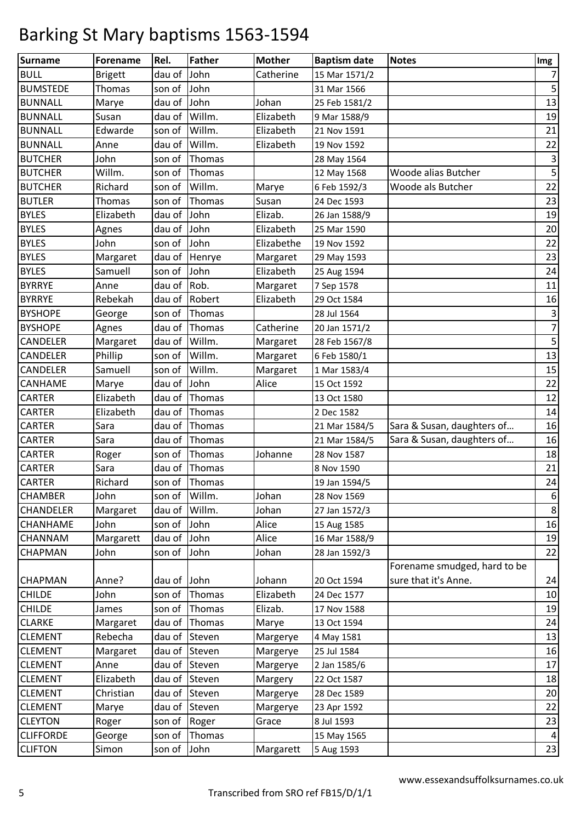| <b>Surname</b>   | <b>Forename</b> | Rel.          | <b>Father</b> | <b>Mother</b> | <b>Baptism date</b> | <b>Notes</b>                 | Img                       |
|------------------|-----------------|---------------|---------------|---------------|---------------------|------------------------------|---------------------------|
| <b>BULL</b>      | <b>Brigett</b>  | dau of        | John          | Catherine     | 15 Mar 1571/2       |                              | $\overline{7}$            |
| <b>BUMSTEDE</b>  | Thomas          | son of        | John          |               | 31 Mar 1566         |                              | 5                         |
| <b>BUNNALL</b>   | Marye           | dau of        | John          | Johan         | 25 Feb 1581/2       |                              | 13                        |
| <b>BUNNALL</b>   | Susan           | dau of        | Willm.        | Elizabeth     | 9 Mar 1588/9        |                              | 19                        |
| <b>BUNNALL</b>   | Edwarde         | son of        | Willm.        | Elizabeth     | 21 Nov 1591         |                              | 21                        |
| <b>BUNNALL</b>   | Anne            | dau of        | Willm.        | Elizabeth     | 19 Nov 1592         |                              | 22                        |
| <b>BUTCHER</b>   | John            | son of        | Thomas        |               | 28 May 1564         |                              | $\mathsf 3$               |
| <b>BUTCHER</b>   | Willm.          | son of        | Thomas        |               | 12 May 1568         | Woode alias Butcher          | $\overline{\mathbf{5}}$   |
| <b>BUTCHER</b>   | Richard         | son of        | Willm.        | Marye         | 6 Feb 1592/3        | Woode als Butcher            | 22                        |
| <b>BUTLER</b>    | <b>Thomas</b>   | son of        | Thomas        | Susan         | 24 Dec 1593         |                              | 23                        |
| <b>BYLES</b>     | Elizabeth       | dau of        | John          | Elizab.       | 26 Jan 1588/9       |                              | 19                        |
| <b>BYLES</b>     | Agnes           | dau of        | John          | Elizabeth     | 25 Mar 1590         |                              | 20                        |
| <b>BYLES</b>     | John            | son of        | John          | Elizabethe    | 19 Nov 1592         |                              | 22                        |
| <b>BYLES</b>     | Margaret        | dau of        | Henrye        | Margaret      | 29 May 1593         |                              | 23                        |
| <b>BYLES</b>     | Samuell         | son of        | John          | Elizabeth     | 25 Aug 1594         |                              | 24                        |
| <b>BYRRYE</b>    | Anne            | dau of        | Rob.          | Margaret      | 7 Sep 1578          |                              | 11                        |
| <b>BYRRYE</b>    | Rebekah         | dau of        | Robert        | Elizabeth     | 29 Oct 1584         |                              | 16                        |
| <b>BYSHOPE</b>   | George          | son of        | Thomas        |               | 28 Jul 1564         |                              | $\ensuremath{\mathsf{3}}$ |
| <b>BYSHOPE</b>   | Agnes           | dau of        | Thomas        | Catherine     | 20 Jan 1571/2       |                              | $\overline{7}$            |
| CANDELER         | Margaret        | dau of        | Willm.        | Margaret      | 28 Feb 1567/8       |                              | 5                         |
| CANDELER         | Phillip         | son of        | Willm.        | Margaret      | 6 Feb 1580/1        |                              | 13                        |
| CANDELER         | Samuell         | son of        | Willm.        | Margaret      | 1 Mar 1583/4        |                              | 15                        |
| CANHAME          | Marye           | dau of        | John          | Alice         | 15 Oct 1592         |                              | 22                        |
| <b>CARTER</b>    | Elizabeth       | dau of        | Thomas        |               | 13 Oct 1580         |                              | 12                        |
| <b>CARTER</b>    | Elizabeth       | dau of        | Thomas        |               | 2 Dec 1582          |                              | 14                        |
| <b>CARTER</b>    | Sara            | dau of        | Thomas        |               | 21 Mar 1584/5       | Sara & Susan, daughters of   | 16                        |
| <b>CARTER</b>    | Sara            | dau of        | Thomas        |               | 21 Mar 1584/5       | Sara & Susan, daughters of   | 16                        |
| CARTER           | Roger           | son of        | Thomas        | Johanne       | 28 Nov 1587         |                              | 18                        |
| <b>CARTER</b>    | Sara            | dau of        | Thomas        |               | 8 Nov 1590          |                              | 21                        |
| <b>CARTER</b>    | Richard         | son of        | Thomas        |               | 19 Jan 1594/5       |                              | 24                        |
| <b>CHAMBER</b>   | John            | son of Willm. |               | Johan         | 28 Nov 1569         |                              | 6                         |
| CHANDELER        | Margaret        | dau of        | Willm.        | Johan         | 27 Jan 1572/3       |                              | 8                         |
| <b>CHANHAME</b>  | John            | son of John   |               | Alice         | 15 Aug 1585         |                              | 16                        |
| CHANNAM          | Margarett       | dau of John   |               | Alice         | 16 Mar 1588/9       |                              | 19                        |
| CHAPMAN          | John            | son of        | John          | Johan         | 28 Jan 1592/3       |                              | 22                        |
|                  |                 |               |               |               |                     | Forename smudged, hard to be |                           |
| CHAPMAN          | Anne?           | dau of John   |               | Johann        | 20 Oct 1594         | sure that it's Anne.         | 24                        |
| <b>CHILDE</b>    | John            | son of        | Thomas        | Elizabeth     | 24 Dec 1577         |                              | $10\,$                    |
| <b>CHILDE</b>    | James           | son of        | Thomas        | Elizab.       | 17 Nov 1588         |                              | 19                        |
| <b>CLARKE</b>    | Margaret        | dau of        | Thomas        | Marye         | 13 Oct 1594         |                              | 24                        |
| <b>CLEMENT</b>   | Rebecha         | dau of        | Steven        | Margerye      | 4 May 1581          |                              | 13                        |
| <b>CLEMENT</b>   | Margaret        |               | dau of Steven | Margerye      | 25 Jul 1584         |                              | 16                        |
| <b>CLEMENT</b>   | Anne            | dau of        | Steven        | Margerye      | 2 Jan 1585/6        |                              | 17                        |
| <b>CLEMENT</b>   | Elizabeth       | dau of        | Steven        | Margery       | 22 Oct 1587         |                              | 18                        |
| <b>CLEMENT</b>   | Christian       | dau of        | Steven        | Margerye      | 28 Dec 1589         |                              | 20                        |
| <b>CLEMENT</b>   | Marye           | dau of        | Steven        | Margerye      | 23 Apr 1592         |                              | 22                        |
| <b>CLEYTON</b>   | Roger           | son of        | Roger         | Grace         | 8 Jul 1593          |                              | 23                        |
| <b>CLIFFORDE</b> | George          | son of        | Thomas        |               | 15 May 1565         |                              | $\pmb{4}$                 |
| <b>CLIFTON</b>   | Simon           | son of John   |               | Margarett     | 5 Aug 1593          |                              | 23                        |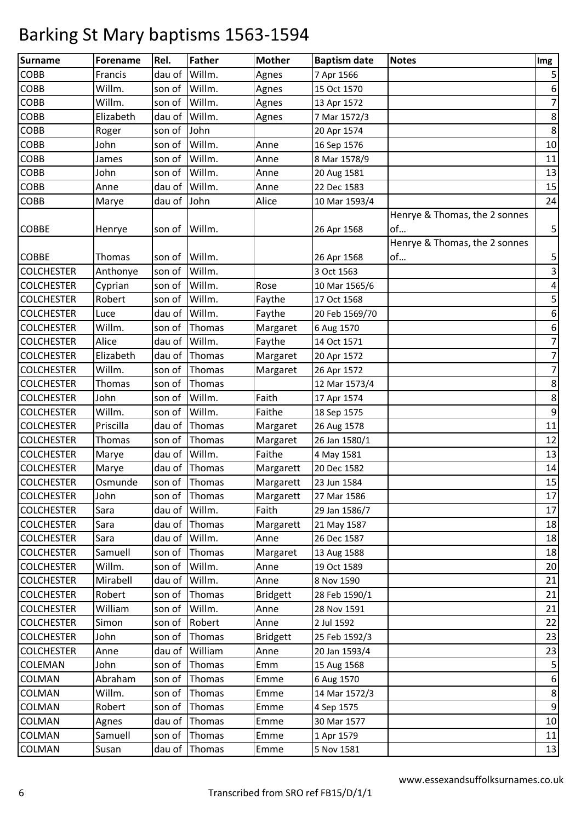| <b>Surname</b>    | <b>Forename</b> | Rel.   | <b>Father</b> | <b>Mother</b>   | <b>Baptism date</b> | <b>Notes</b>                        | Img                     |
|-------------------|-----------------|--------|---------------|-----------------|---------------------|-------------------------------------|-------------------------|
| COBB              | Francis         | dau of | Willm.        | Agnes           | 7 Apr 1566          |                                     | 5                       |
| COBB              | Willm.          | son of | Willm.        | Agnes           | 15 Oct 1570         |                                     | 6                       |
| COBB              | Willm.          | son of | Willm.        | Agnes           | 13 Apr 1572         |                                     | $\overline{7}$          |
| COBB              | Elizabeth       | dau of | Willm.        | Agnes           | 7 Mar 1572/3        |                                     | 8                       |
| COBB              | Roger           | son of | John          |                 | 20 Apr 1574         |                                     | $\,8\,$                 |
| COBB              | John            | son of | Willm.        | Anne            | 16 Sep 1576         |                                     | $10\,$                  |
| COBB              | James           | son of | Willm.        | Anne            | 8 Mar 1578/9        |                                     | 11                      |
| COBB              | John            | son of | Willm.        | Anne            | 20 Aug 1581         |                                     | 13                      |
| COBB              | Anne            | dau of | Willm.        | Anne            | 22 Dec 1583         |                                     | 15                      |
| COBB              | Marye           | dau of | John          | Alice           | 10 Mar 1593/4       |                                     | 24                      |
| COBBE             | Henrye          | son of | Willm.        |                 | 26 Apr 1568         | Henrye & Thomas, the 2 sonnes<br>of | 5                       |
| COBBE             | Thomas          | son of | Willm.        |                 | 26 Apr 1568         | Henrye & Thomas, the 2 sonnes<br>of | 5                       |
| <b>COLCHESTER</b> | Anthonye        | son of | Willm.        |                 | 3 Oct 1563          |                                     | $\mathsf 3$             |
| <b>COLCHESTER</b> | Cyprian         | son of | Willm.        | Rose            | 10 Mar 1565/6       |                                     | 4                       |
| <b>COLCHESTER</b> | Robert          | son of | Willm.        | Faythe          | 17 Oct 1568         |                                     | $\overline{\mathbf{5}}$ |
| <b>COLCHESTER</b> | Luce            | dau of | Willm.        | Faythe          | 20 Feb 1569/70      |                                     | 6                       |
| <b>COLCHESTER</b> | Willm.          | son of | Thomas        | Margaret        | 6 Aug 1570          |                                     | 6                       |
| <b>COLCHESTER</b> | Alice           | dau of | Willm.        | Faythe          | 14 Oct 1571         |                                     | $\boldsymbol{7}$        |
| <b>COLCHESTER</b> | Elizabeth       | dau of | Thomas        | Margaret        | 20 Apr 1572         |                                     | $\boldsymbol{7}$        |
| <b>COLCHESTER</b> | Willm.          | son of | Thomas        | Margaret        | 26 Apr 1572         |                                     | 7                       |
| <b>COLCHESTER</b> | <b>Thomas</b>   | son of | Thomas        |                 | 12 Mar 1573/4       |                                     | $\bf 8$                 |
| <b>COLCHESTER</b> | John            | son of | Willm.        | Faith           | 17 Apr 1574         |                                     | 8                       |
| <b>COLCHESTER</b> | Willm.          | son of | Willm.        | Faithe          | 18 Sep 1575         |                                     | $\mathsf 9$             |
| <b>COLCHESTER</b> | Priscilla       | dau of | Thomas        | Margaret        | 26 Aug 1578         |                                     | 11                      |
| <b>COLCHESTER</b> | <b>Thomas</b>   | son of | Thomas        | Margaret        | 26 Jan 1580/1       |                                     | 12                      |
| <b>COLCHESTER</b> | Marye           | dau of | Willm.        | Faithe          | 4 May 1581          |                                     | 13                      |
| <b>COLCHESTER</b> | Marye           | dau of | Thomas        | Margarett       | 20 Dec 1582         |                                     | 14                      |
| <b>COLCHESTER</b> | Osmunde         | son of | Thomas        | Margarett       | 23 Jun 1584         |                                     | 15                      |
| <b>COLCHESTER</b> | John            |        | son of Thomas | Margarett       | 27 Mar 1586         |                                     | 17                      |
| <b>COLCHESTER</b> | Sara            |        | dau of Willm. | Faith           | 29 Jan 1586/7       |                                     | 17                      |
| <b>COLCHESTER</b> | Sara            |        | dau of Thomas | Margarett       | 21 May 1587         |                                     | 18                      |
| <b>COLCHESTER</b> | Sara            | dau of | Willm.        | Anne            | 26 Dec 1587         |                                     | 18                      |
| <b>COLCHESTER</b> | Samuell         | son of | Thomas        | Margaret        | 13 Aug 1588         |                                     | 18                      |
| <b>COLCHESTER</b> | Willm.          | son of | Willm.        | Anne            | 19 Oct 1589         |                                     | 20                      |
| <b>COLCHESTER</b> | Mirabell        | dau of | Willm.        | Anne            | 8 Nov 1590          |                                     | 21                      |
| <b>COLCHESTER</b> | Robert          | son of | Thomas        | <b>Bridgett</b> | 28 Feb 1590/1       |                                     | 21                      |
| <b>COLCHESTER</b> | William         | son of | Willm.        | Anne            | 28 Nov 1591         |                                     | 21                      |
| <b>COLCHESTER</b> | Simon           | son of | Robert        | Anne            | 2 Jul 1592          |                                     | 22                      |
| <b>COLCHESTER</b> | John            | son of | Thomas        | <b>Bridgett</b> | 25 Feb 1592/3       |                                     | 23                      |
| <b>COLCHESTER</b> | Anne            | dau of | William       | Anne            | 20 Jan 1593/4       |                                     | 23                      |
| COLEMAN           | John            | son of | Thomas        | Emm             | 15 Aug 1568         |                                     | $\overline{\mathbf{5}}$ |
| COLMAN            | Abraham         | son of | Thomas        | Emme            | 6 Aug 1570          |                                     | 6                       |
| COLMAN            | Willm.          | son of | Thomas        | Emme            | 14 Mar 1572/3       |                                     | 8                       |
| COLMAN            | Robert          | son of | Thomas        | Emme            | 4 Sep 1575          |                                     | 9                       |
| COLMAN            | Agnes           | dau of | Thomas        | Emme            | 30 Mar 1577         |                                     | 10                      |
| COLMAN            | Samuell         | son of | Thomas        | Emme            | 1 Apr 1579          |                                     | 11                      |
| COLMAN            | Susan           | dau of | Thomas        | Emme            | 5 Nov 1581          |                                     | 13                      |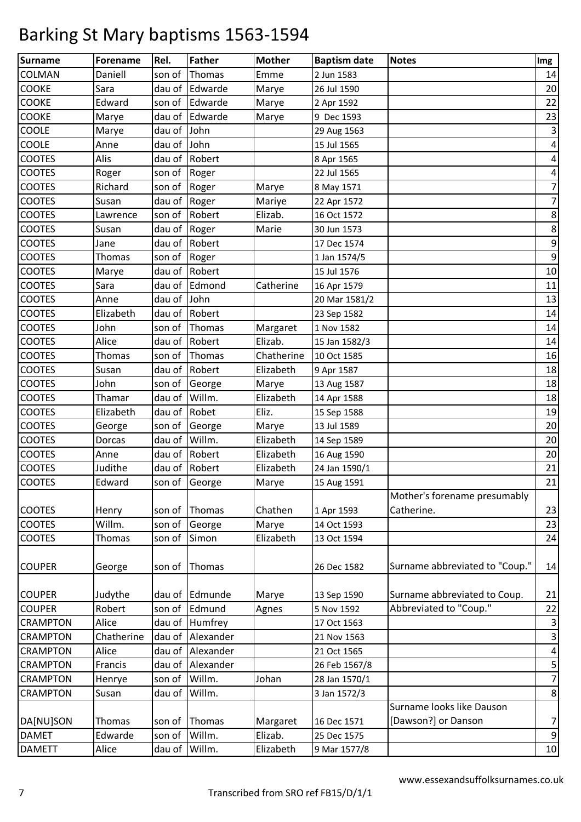| Daniell<br>COLMAN<br>son of<br>Thomas<br>Emme<br>2 Jun 1583<br>14<br><b>COOKE</b><br>dau of<br>Edwarde<br>20<br>Sara<br>Marye<br>26 Jul 1590<br><b>COOKE</b><br>22<br>Edward<br>son of<br>Edwarde<br>Marye<br>2 Apr 1592<br><b>COOKE</b><br>Edwarde<br>23<br>dau of<br>Marye<br>9 Dec 1593<br>Marye<br>COOLE<br>dau of<br>3<br>John<br>Marye<br>29 Aug 1563<br>COOLE<br>John<br>dau of<br>4<br>Anne<br>15 Jul 1565<br><b>COOTES</b><br>Alis<br>dau of<br>Robert<br>$\overline{\mathbf{r}}$<br>8 Apr 1565<br><b>COOTES</b><br>$\pmb{4}$<br>son of<br>Roger<br>22 Jul 1565<br>Roger<br>$\overline{7}$<br><b>COOTES</b><br>Richard<br>son of<br>Roger<br>Marye<br>8 May 1571<br>$\overline{7}$<br><b>COOTES</b><br>dau of<br>Roger<br>Mariye<br>Susan<br>22 Apr 1572<br><b>COOTES</b><br>$\bf 8$<br>Robert<br>Elizab.<br>son of<br>16 Oct 1572<br>Lawrence<br>$\bf 8$<br><b>COOTES</b><br>dau of<br>Roger<br>Marie<br>30 Jun 1573<br>Susan<br>$\mathsf 9$<br><b>COOTES</b><br>dau of<br>Robert<br>17 Dec 1574<br>Jane<br>9<br><b>COOTES</b><br>son of<br>Thomas<br>Roger<br>1 Jan 1574/5<br><b>COOTES</b><br>Robert<br>dau of<br>$10\,$<br>15 Jul 1576<br>Marye<br><b>COOTES</b><br>Edmond<br>11<br>dau of<br>Catherine<br>16 Apr 1579<br>Sara<br><b>COOTES</b><br>dau of<br>13<br>John<br>20 Mar 1581/2<br>Anne<br><b>COOTES</b><br>Robert<br>Elizabeth<br>dau of<br>14<br>23 Sep 1582<br>John<br><b>COOTES</b><br>son of<br>Thomas<br>14<br>Margaret<br>1 Nov 1582 | <b>Surname</b> | <b>Forename</b> | Rel.   | <b>Father</b> | <b>Mother</b> | <b>Baptism date</b> | <b>Notes</b> | Img |
|-------------------------------------------------------------------------------------------------------------------------------------------------------------------------------------------------------------------------------------------------------------------------------------------------------------------------------------------------------------------------------------------------------------------------------------------------------------------------------------------------------------------------------------------------------------------------------------------------------------------------------------------------------------------------------------------------------------------------------------------------------------------------------------------------------------------------------------------------------------------------------------------------------------------------------------------------------------------------------------------------------------------------------------------------------------------------------------------------------------------------------------------------------------------------------------------------------------------------------------------------------------------------------------------------------------------------------------------------------------------------------------------------------------------------------------------------------------------|----------------|-----------------|--------|---------------|---------------|---------------------|--------------|-----|
|                                                                                                                                                                                                                                                                                                                                                                                                                                                                                                                                                                                                                                                                                                                                                                                                                                                                                                                                                                                                                                                                                                                                                                                                                                                                                                                                                                                                                                                                   |                |                 |        |               |               |                     |              |     |
|                                                                                                                                                                                                                                                                                                                                                                                                                                                                                                                                                                                                                                                                                                                                                                                                                                                                                                                                                                                                                                                                                                                                                                                                                                                                                                                                                                                                                                                                   |                |                 |        |               |               |                     |              |     |
|                                                                                                                                                                                                                                                                                                                                                                                                                                                                                                                                                                                                                                                                                                                                                                                                                                                                                                                                                                                                                                                                                                                                                                                                                                                                                                                                                                                                                                                                   |                |                 |        |               |               |                     |              |     |
|                                                                                                                                                                                                                                                                                                                                                                                                                                                                                                                                                                                                                                                                                                                                                                                                                                                                                                                                                                                                                                                                                                                                                                                                                                                                                                                                                                                                                                                                   |                |                 |        |               |               |                     |              |     |
|                                                                                                                                                                                                                                                                                                                                                                                                                                                                                                                                                                                                                                                                                                                                                                                                                                                                                                                                                                                                                                                                                                                                                                                                                                                                                                                                                                                                                                                                   |                |                 |        |               |               |                     |              |     |
|                                                                                                                                                                                                                                                                                                                                                                                                                                                                                                                                                                                                                                                                                                                                                                                                                                                                                                                                                                                                                                                                                                                                                                                                                                                                                                                                                                                                                                                                   |                |                 |        |               |               |                     |              |     |
|                                                                                                                                                                                                                                                                                                                                                                                                                                                                                                                                                                                                                                                                                                                                                                                                                                                                                                                                                                                                                                                                                                                                                                                                                                                                                                                                                                                                                                                                   |                |                 |        |               |               |                     |              |     |
|                                                                                                                                                                                                                                                                                                                                                                                                                                                                                                                                                                                                                                                                                                                                                                                                                                                                                                                                                                                                                                                                                                                                                                                                                                                                                                                                                                                                                                                                   |                |                 |        |               |               |                     |              |     |
|                                                                                                                                                                                                                                                                                                                                                                                                                                                                                                                                                                                                                                                                                                                                                                                                                                                                                                                                                                                                                                                                                                                                                                                                                                                                                                                                                                                                                                                                   |                |                 |        |               |               |                     |              |     |
|                                                                                                                                                                                                                                                                                                                                                                                                                                                                                                                                                                                                                                                                                                                                                                                                                                                                                                                                                                                                                                                                                                                                                                                                                                                                                                                                                                                                                                                                   |                |                 |        |               |               |                     |              |     |
|                                                                                                                                                                                                                                                                                                                                                                                                                                                                                                                                                                                                                                                                                                                                                                                                                                                                                                                                                                                                                                                                                                                                                                                                                                                                                                                                                                                                                                                                   |                |                 |        |               |               |                     |              |     |
|                                                                                                                                                                                                                                                                                                                                                                                                                                                                                                                                                                                                                                                                                                                                                                                                                                                                                                                                                                                                                                                                                                                                                                                                                                                                                                                                                                                                                                                                   |                |                 |        |               |               |                     |              |     |
|                                                                                                                                                                                                                                                                                                                                                                                                                                                                                                                                                                                                                                                                                                                                                                                                                                                                                                                                                                                                                                                                                                                                                                                                                                                                                                                                                                                                                                                                   |                |                 |        |               |               |                     |              |     |
|                                                                                                                                                                                                                                                                                                                                                                                                                                                                                                                                                                                                                                                                                                                                                                                                                                                                                                                                                                                                                                                                                                                                                                                                                                                                                                                                                                                                                                                                   |                |                 |        |               |               |                     |              |     |
|                                                                                                                                                                                                                                                                                                                                                                                                                                                                                                                                                                                                                                                                                                                                                                                                                                                                                                                                                                                                                                                                                                                                                                                                                                                                                                                                                                                                                                                                   |                |                 |        |               |               |                     |              |     |
|                                                                                                                                                                                                                                                                                                                                                                                                                                                                                                                                                                                                                                                                                                                                                                                                                                                                                                                                                                                                                                                                                                                                                                                                                                                                                                                                                                                                                                                                   |                |                 |        |               |               |                     |              |     |
|                                                                                                                                                                                                                                                                                                                                                                                                                                                                                                                                                                                                                                                                                                                                                                                                                                                                                                                                                                                                                                                                                                                                                                                                                                                                                                                                                                                                                                                                   |                |                 |        |               |               |                     |              |     |
|                                                                                                                                                                                                                                                                                                                                                                                                                                                                                                                                                                                                                                                                                                                                                                                                                                                                                                                                                                                                                                                                                                                                                                                                                                                                                                                                                                                                                                                                   |                |                 |        |               |               |                     |              |     |
|                                                                                                                                                                                                                                                                                                                                                                                                                                                                                                                                                                                                                                                                                                                                                                                                                                                                                                                                                                                                                                                                                                                                                                                                                                                                                                                                                                                                                                                                   |                |                 |        |               |               |                     |              |     |
| 15 Jan 1582/3                                                                                                                                                                                                                                                                                                                                                                                                                                                                                                                                                                                                                                                                                                                                                                                                                                                                                                                                                                                                                                                                                                                                                                                                                                                                                                                                                                                                                                                     | <b>COOTES</b>  | Alice           | dau of | Robert        | Elizab.       |                     |              | 14  |
| <b>COOTES</b><br>Chatherine<br>16<br><b>Thomas</b><br>son of<br>Thomas<br>10 Oct 1585                                                                                                                                                                                                                                                                                                                                                                                                                                                                                                                                                                                                                                                                                                                                                                                                                                                                                                                                                                                                                                                                                                                                                                                                                                                                                                                                                                             |                |                 |        |               |               |                     |              |     |
| <b>COOTES</b><br>18<br>dau of<br>Robert<br>Elizabeth<br>Susan<br>9 Apr 1587                                                                                                                                                                                                                                                                                                                                                                                                                                                                                                                                                                                                                                                                                                                                                                                                                                                                                                                                                                                                                                                                                                                                                                                                                                                                                                                                                                                       |                |                 |        |               |               |                     |              |     |
| <b>COOTES</b><br>18<br>John<br>son of<br>Marye<br>George<br>13 Aug 1587                                                                                                                                                                                                                                                                                                                                                                                                                                                                                                                                                                                                                                                                                                                                                                                                                                                                                                                                                                                                                                                                                                                                                                                                                                                                                                                                                                                           |                |                 |        |               |               |                     |              |     |
| Willm.<br>Elizabeth<br><b>COOTES</b><br>dau of<br>18<br>Thamar<br>14 Apr 1588                                                                                                                                                                                                                                                                                                                                                                                                                                                                                                                                                                                                                                                                                                                                                                                                                                                                                                                                                                                                                                                                                                                                                                                                                                                                                                                                                                                     |                |                 |        |               |               |                     |              |     |
| <b>COOTES</b><br>Robet<br>Elizabeth<br>dau of<br>Eliz.<br>19<br>15 Sep 1588                                                                                                                                                                                                                                                                                                                                                                                                                                                                                                                                                                                                                                                                                                                                                                                                                                                                                                                                                                                                                                                                                                                                                                                                                                                                                                                                                                                       |                |                 |        |               |               |                     |              |     |
| <b>COOTES</b><br>20<br>son of<br>Marye<br>13 Jul 1589<br>George<br>George                                                                                                                                                                                                                                                                                                                                                                                                                                                                                                                                                                                                                                                                                                                                                                                                                                                                                                                                                                                                                                                                                                                                                                                                                                                                                                                                                                                         |                |                 |        |               |               |                     |              |     |
| Willm.<br><b>COOTES</b><br>Elizabeth<br>20<br>dau of<br>Dorcas<br>14 Sep 1589                                                                                                                                                                                                                                                                                                                                                                                                                                                                                                                                                                                                                                                                                                                                                                                                                                                                                                                                                                                                                                                                                                                                                                                                                                                                                                                                                                                     |                |                 |        |               |               |                     |              |     |
| $20\,$<br><b>COOTES</b><br>dau of<br>Robert<br>Elizabeth<br>Anne<br>16 Aug 1590                                                                                                                                                                                                                                                                                                                                                                                                                                                                                                                                                                                                                                                                                                                                                                                                                                                                                                                                                                                                                                                                                                                                                                                                                                                                                                                                                                                   |                |                 |        |               |               |                     |              |     |
| Robert<br><b>COOTES</b><br>Judithe<br>dau of<br>Elizabeth<br>21<br>24 Jan 1590/1                                                                                                                                                                                                                                                                                                                                                                                                                                                                                                                                                                                                                                                                                                                                                                                                                                                                                                                                                                                                                                                                                                                                                                                                                                                                                                                                                                                  |                |                 |        |               |               |                     |              |     |
| 21<br><b>COOTES</b><br>son of<br>Edward<br>Marye<br>15 Aug 1591<br>George                                                                                                                                                                                                                                                                                                                                                                                                                                                                                                                                                                                                                                                                                                                                                                                                                                                                                                                                                                                                                                                                                                                                                                                                                                                                                                                                                                                         |                |                 |        |               |               |                     |              |     |
| Mother's forename presumably                                                                                                                                                                                                                                                                                                                                                                                                                                                                                                                                                                                                                                                                                                                                                                                                                                                                                                                                                                                                                                                                                                                                                                                                                                                                                                                                                                                                                                      |                |                 |        |               |               |                     |              |     |
| Catherine.<br><b>COOTES</b><br>Chathen<br>23<br>Henry<br>son of<br>Thomas<br>1 Apr 1593                                                                                                                                                                                                                                                                                                                                                                                                                                                                                                                                                                                                                                                                                                                                                                                                                                                                                                                                                                                                                                                                                                                                                                                                                                                                                                                                                                           |                |                 |        |               |               |                     |              |     |
| <b>COOTES</b><br>Willm.<br>23<br>son of<br>Marye<br>14 Oct 1593<br>George                                                                                                                                                                                                                                                                                                                                                                                                                                                                                                                                                                                                                                                                                                                                                                                                                                                                                                                                                                                                                                                                                                                                                                                                                                                                                                                                                                                         |                |                 |        |               |               |                     |              |     |
| <b>COOTES</b><br>Elizabeth<br>24<br><b>Thomas</b><br>son of<br>Simon<br>13 Oct 1594                                                                                                                                                                                                                                                                                                                                                                                                                                                                                                                                                                                                                                                                                                                                                                                                                                                                                                                                                                                                                                                                                                                                                                                                                                                                                                                                                                               |                |                 |        |               |               |                     |              |     |
|                                                                                                                                                                                                                                                                                                                                                                                                                                                                                                                                                                                                                                                                                                                                                                                                                                                                                                                                                                                                                                                                                                                                                                                                                                                                                                                                                                                                                                                                   |                |                 |        |               |               |                     |              |     |
| Surname abbreviated to "Coup."<br><b>COUPER</b><br>14<br>Thomas<br>26 Dec 1582<br>George<br>son of                                                                                                                                                                                                                                                                                                                                                                                                                                                                                                                                                                                                                                                                                                                                                                                                                                                                                                                                                                                                                                                                                                                                                                                                                                                                                                                                                                |                |                 |        |               |               |                     |              |     |
|                                                                                                                                                                                                                                                                                                                                                                                                                                                                                                                                                                                                                                                                                                                                                                                                                                                                                                                                                                                                                                                                                                                                                                                                                                                                                                                                                                                                                                                                   |                |                 |        |               |               |                     |              |     |
| <b>COUPER</b><br>Edmunde<br>Surname abbreviated to Coup.<br>21<br>Judythe<br>dau of<br>Marye<br>13 Sep 1590                                                                                                                                                                                                                                                                                                                                                                                                                                                                                                                                                                                                                                                                                                                                                                                                                                                                                                                                                                                                                                                                                                                                                                                                                                                                                                                                                       |                |                 |        |               |               |                     |              |     |
| Abbreviated to "Coup."<br>Robert<br><b>COUPER</b><br>son of<br>Edmund<br>22<br>5 Nov 1592<br>Agnes                                                                                                                                                                                                                                                                                                                                                                                                                                                                                                                                                                                                                                                                                                                                                                                                                                                                                                                                                                                                                                                                                                                                                                                                                                                                                                                                                                |                |                 |        |               |               |                     |              |     |
| 3<br><b>CRAMPTON</b><br>Alice<br>Humfrey<br>dau of<br>17 Oct 1563                                                                                                                                                                                                                                                                                                                                                                                                                                                                                                                                                                                                                                                                                                                                                                                                                                                                                                                                                                                                                                                                                                                                                                                                                                                                                                                                                                                                 |                |                 |        |               |               |                     |              |     |
| $\mathsf{3}$<br><b>CRAMPTON</b><br>dau of<br>Alexander<br>Chatherine<br>21 Nov 1563                                                                                                                                                                                                                                                                                                                                                                                                                                                                                                                                                                                                                                                                                                                                                                                                                                                                                                                                                                                                                                                                                                                                                                                                                                                                                                                                                                               |                |                 |        |               |               |                     |              |     |
| Alexander<br><b>CRAMPTON</b><br>Alice<br>dau of<br>$\overline{\mathbf{4}}$<br>21 Oct 1565                                                                                                                                                                                                                                                                                                                                                                                                                                                                                                                                                                                                                                                                                                                                                                                                                                                                                                                                                                                                                                                                                                                                                                                                                                                                                                                                                                         |                |                 |        |               |               |                     |              |     |
| $\mathsf S$<br>Alexander<br><b>CRAMPTON</b><br>Francis<br>dau of<br>26 Feb 1567/8                                                                                                                                                                                                                                                                                                                                                                                                                                                                                                                                                                                                                                                                                                                                                                                                                                                                                                                                                                                                                                                                                                                                                                                                                                                                                                                                                                                 |                |                 |        |               |               |                     |              |     |
| Willm.<br>Johan<br>$\overline{7}$<br><b>CRAMPTON</b><br>son of<br>28 Jan 1570/1<br>Henrye                                                                                                                                                                                                                                                                                                                                                                                                                                                                                                                                                                                                                                                                                                                                                                                                                                                                                                                                                                                                                                                                                                                                                                                                                                                                                                                                                                         |                |                 |        |               |               |                     |              |     |
| $\,8\,$<br>Willm.<br><b>CRAMPTON</b><br>dau of<br>3 Jan 1572/3<br>Susan                                                                                                                                                                                                                                                                                                                                                                                                                                                                                                                                                                                                                                                                                                                                                                                                                                                                                                                                                                                                                                                                                                                                                                                                                                                                                                                                                                                           |                |                 |        |               |               |                     |              |     |
| Surname looks like Dauson                                                                                                                                                                                                                                                                                                                                                                                                                                                                                                                                                                                                                                                                                                                                                                                                                                                                                                                                                                                                                                                                                                                                                                                                                                                                                                                                                                                                                                         |                |                 |        |               |               |                     |              |     |
| [Dawson?] or Danson<br>7<br>DA[NU]SON<br>Thomas<br>Thomas<br>16 Dec 1571<br>son of<br>Margaret                                                                                                                                                                                                                                                                                                                                                                                                                                                                                                                                                                                                                                                                                                                                                                                                                                                                                                                                                                                                                                                                                                                                                                                                                                                                                                                                                                    |                |                 |        |               |               |                     |              |     |
| $\boldsymbol{9}$<br>Edwarde<br>Willm.<br>Elizab.<br><b>DAMET</b><br>son of<br>25 Dec 1575                                                                                                                                                                                                                                                                                                                                                                                                                                                                                                                                                                                                                                                                                                                                                                                                                                                                                                                                                                                                                                                                                                                                                                                                                                                                                                                                                                         |                |                 |        |               |               |                     |              |     |
| Willm.<br><b>DAMETT</b><br>Alice<br>Elizabeth<br>9 Mar 1577/8<br>10<br>dau of                                                                                                                                                                                                                                                                                                                                                                                                                                                                                                                                                                                                                                                                                                                                                                                                                                                                                                                                                                                                                                                                                                                                                                                                                                                                                                                                                                                     |                |                 |        |               |               |                     |              |     |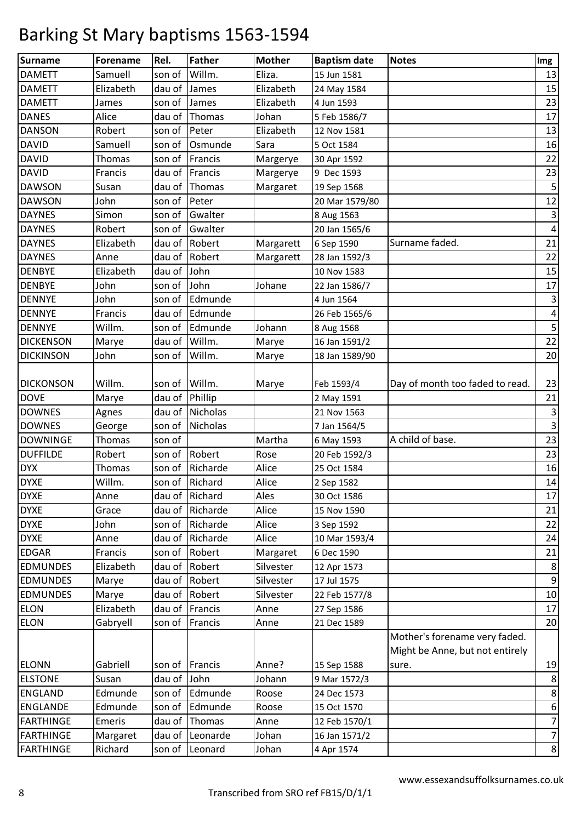| <b>Surname</b>   | <b>Forename</b> | Rel.        | <b>Father</b>  | <b>Mother</b> | <b>Baptism date</b> | <b>Notes</b>                    | Img            |
|------------------|-----------------|-------------|----------------|---------------|---------------------|---------------------------------|----------------|
| <b>DAMETT</b>    | Samuell         | son of      | Willm.         | Eliza.        | 15 Jun 1581         |                                 | 13             |
| <b>DAMETT</b>    | Elizabeth       | dau of      | James          | Elizabeth     | 24 May 1584         |                                 | 15             |
| <b>DAMETT</b>    | James           | son of      | James          | Elizabeth     | 4 Jun 1593          |                                 | 23             |
| <b>DANES</b>     | Alice           | dau of      | Thomas         | Johan         | 5 Feb 1586/7        |                                 | 17             |
| <b>DANSON</b>    | Robert          | son of      | Peter          | Elizabeth     | 12 Nov 1581         |                                 | 13             |
| <b>DAVID</b>     | Samuell         | son of      | Osmunde        | Sara          | 5 Oct 1584          |                                 | 16             |
| <b>DAVID</b>     | <b>Thomas</b>   | son of      | Francis        | Margerye      | 30 Apr 1592         |                                 | 22             |
| <b>DAVID</b>     | Francis         | dau of      | Francis        | Margerye      | 9 Dec 1593          |                                 | 23             |
| <b>DAWSON</b>    | Susan           | dau of      | Thomas         | Margaret      | 19 Sep 1568         |                                 | 5              |
| <b>DAWSON</b>    | John            | son of      | Peter          |               | 20 Mar 1579/80      |                                 | 12             |
| <b>DAYNES</b>    | Simon           | son of      | Gwalter        |               | 8 Aug 1563          |                                 | 3              |
| <b>DAYNES</b>    | Robert          | son of      | Gwalter        |               | 20 Jan 1565/6       |                                 | $\pmb{4}$      |
| <b>DAYNES</b>    | Elizabeth       | dau of      | Robert         | Margarett     | 6 Sep 1590          | Surname faded.                  | 21             |
| <b>DAYNES</b>    | Anne            | dau of      | Robert         | Margarett     | 28 Jan 1592/3       |                                 | 22             |
| <b>DENBYE</b>    | Elizabeth       | dau of      | John           |               | 10 Nov 1583         |                                 | 15             |
| <b>DENBYE</b>    | John            | son of      | John           | Johane        | 22 Jan 1586/7       |                                 | $17\,$         |
| <b>DENNYE</b>    | John            | son of      | Edmunde        |               | 4 Jun 1564          |                                 | 3              |
| <b>DENNYE</b>    | Francis         | dau of      | Edmunde        |               | 26 Feb 1565/6       |                                 | $\pmb{4}$      |
| <b>DENNYE</b>    | Willm.          | son of      | Edmunde        | Johann        | 8 Aug 1568          |                                 | 5              |
| <b>DICKENSON</b> | Marye           | dau of      | Willm.         | Marye         | 16 Jan 1591/2       |                                 | 22             |
| <b>DICKINSON</b> | John            | son of      | Willm.         | Marye         | 18 Jan 1589/90      |                                 | 20             |
|                  |                 |             |                |               |                     |                                 |                |
| <b>DICKONSON</b> | Willm.          | son of      | Willm.         | Marye         | Feb 1593/4          | Day of month too faded to read. | 23             |
| <b>DOVE</b>      | Marye           | dau of      | Phillip        |               | 2 May 1591          |                                 | 21             |
| <b>DOWNES</b>    | Agnes           | dau of      | Nicholas       |               | 21 Nov 1563         |                                 | 3              |
| <b>DOWNES</b>    | George          | son of      | Nicholas       |               | 7 Jan 1564/5        |                                 | $\overline{3}$ |
| <b>DOWNINGE</b>  | Thomas          | son of      |                | Martha        | 6 May 1593          | A child of base.                | 23             |
| <b>DUFFILDE</b>  | Robert          | son of      | Robert         | Rose          | 20 Feb 1592/3       |                                 | 23             |
| <b>DYX</b>       | <b>Thomas</b>   | son of      | Richarde       | Alice         | 25 Oct 1584         |                                 | 16             |
| <b>DYXE</b>      | Willm.          |             | son of Richard | Alice         | 2 Sep 1582          |                                 | 14             |
| <b>DYXE</b>      | Anne            |             | dau of Richard | Ales          | 30 Oct 1586         |                                 | 17             |
| <b>DYXE</b>      | Grace           | dau of      | Richarde       | Alice         | 15 Nov 1590         |                                 | 21             |
| <b>DYXE</b>      | John            | son of      | Richarde       | Alice         | 3 Sep 1592          |                                 | 22             |
| <b>DYXE</b>      | Anne            | dau of      | Richarde       | Alice         | 10 Mar 1593/4       |                                 | 24             |
| <b>EDGAR</b>     | Francis         | son of      | Robert         | Margaret      | 6 Dec 1590          |                                 | 21             |
| <b>EDMUNDES</b>  | Elizabeth       | dau of      | Robert         | Silvester     | 12 Apr 1573         |                                 | 8              |
| <b>EDMUNDES</b>  | Marye           | dau of      | Robert         | Silvester     | 17 Jul 1575         |                                 | 9              |
| <b>EDMUNDES</b>  | Marye           |             | dau of Robert  | Silvester     | 22 Feb 1577/8       |                                 | 10             |
| <b>ELON</b>      | Elizabeth       | dau of      | Francis        | Anne          | 27 Sep 1586         |                                 | 17             |
| <b>ELON</b>      | Gabryell        | son of      | Francis        | Anne          | 21 Dec 1589         |                                 | 20             |
|                  |                 |             |                |               |                     | Mother's forename very faded.   |                |
|                  |                 |             |                |               |                     | Might be Anne, but not entirely |                |
| <b>ELONN</b>     | Gabriell        | son of      | Francis        | Anne?         | 15 Sep 1588         | sure.                           | 19             |
| <b>ELSTONE</b>   | Susan           | dau of John |                | Johann        | 9 Mar 1572/3        |                                 | 8              |
| <b>ENGLAND</b>   | Edmunde         | son of      | Edmunde        | Roose         | 24 Dec 1573         |                                 | $\,8\,$        |
| <b>ENGLANDE</b>  | Edmunde         | son of      | Edmunde        | Roose         | 15 Oct 1570         |                                 | 6              |
| <b>FARTHINGE</b> | Emeris          | dau of      | Thomas         | Anne          | 12 Feb 1570/1       |                                 | $\overline{7}$ |
| <b>FARTHINGE</b> | Margaret        | dau of      | Leonarde       | Johan         | 16 Jan 1571/2       |                                 | $\overline{7}$ |
| <b>FARTHINGE</b> | Richard         | son of      | Leonard        | Johan         | 4 Apr 1574          |                                 | 8              |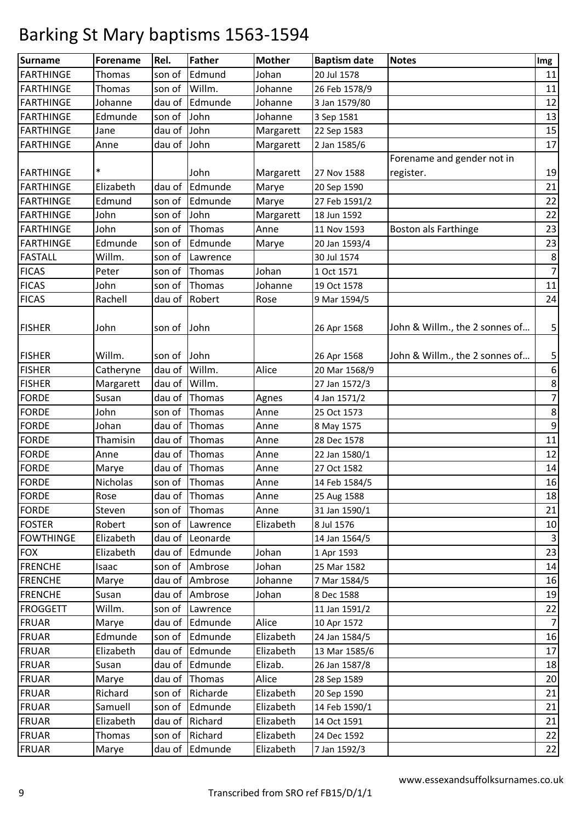| <b>Surname</b>   | <b>Forename</b> | Rel.        | <b>Father</b>  | <b>Mother</b> | <b>Baptism date</b> | <b>Notes</b>                   | Img                     |
|------------------|-----------------|-------------|----------------|---------------|---------------------|--------------------------------|-------------------------|
| <b>FARTHINGE</b> | Thomas          | son of      | Edmund         | Johan         | 20 Jul 1578         |                                | 11                      |
| <b>FARTHINGE</b> | Thomas          | son of      | Willm.         | Johanne       | 26 Feb 1578/9       |                                | 11                      |
| <b>FARTHINGE</b> | Johanne         | dau of      | Edmunde        | Johanne       | 3 Jan 1579/80       |                                | 12                      |
| <b>FARTHINGE</b> | Edmunde         | son of      | John           | Johanne       | 3 Sep 1581          |                                | 13                      |
| <b>FARTHINGE</b> | Jane            | dau of      | John           | Margarett     | 22 Sep 1583         |                                | 15                      |
| <b>FARTHINGE</b> | Anne            | dau of      | John           | Margarett     | 2 Jan 1585/6        |                                | 17                      |
|                  |                 |             |                |               |                     | Forename and gender not in     |                         |
| <b>FARTHINGE</b> | $\ast$          |             | John           | Margarett     | 27 Nov 1588         | register.                      | 19                      |
| <b>FARTHINGE</b> | Elizabeth       | dau of      | Edmunde        | Marye         | 20 Sep 1590         |                                | 21                      |
| <b>FARTHINGE</b> | Edmund          | son of      | Edmunde        | Marye         | 27 Feb 1591/2       |                                | 22                      |
| <b>FARTHINGE</b> | John            | son of      | John           | Margarett     | 18 Jun 1592         |                                | 22                      |
| <b>FARTHINGE</b> | John            | son of      | Thomas         | Anne          | 11 Nov 1593         | Boston als Farthinge           | 23                      |
| <b>FARTHINGE</b> | Edmunde         | son of      | Edmunde        | Marye         | 20 Jan 1593/4       |                                | 23                      |
| <b>FASTALL</b>   | Willm.          | son of      | Lawrence       |               | 30 Jul 1574         |                                | $\bf 8$                 |
| <b>FICAS</b>     | Peter           | son of      | Thomas         | Johan         | 1 Oct 1571          |                                | $\boldsymbol{7}$        |
| <b>FICAS</b>     | John            | son of      | Thomas         | Johanne       | 19 Oct 1578         |                                | 11                      |
| <b>FICAS</b>     | Rachell         | dau of      | Robert         | Rose          | 9 Mar 1594/5        |                                | 24                      |
| <b>FISHER</b>    | John            | son of John |                |               | 26 Apr 1568         | John & Willm., the 2 sonnes of | 5                       |
| <b>FISHER</b>    | Willm.          | son of      | John           |               | 26 Apr 1568         | John & Willm., the 2 sonnes of | 5                       |
| <b>FISHER</b>    | Catheryne       | dau of      | Willm.         | Alice         | 20 Mar 1568/9       |                                | 6                       |
| <b>FISHER</b>    | Margarett       | dau of      | Willm.         |               | 27 Jan 1572/3       |                                | $\bf 8$                 |
| <b>FORDE</b>     | Susan           | dau of      | Thomas         | Agnes         | 4 Jan 1571/2        |                                | $\boldsymbol{7}$        |
| <b>FORDE</b>     | John            | son of      | Thomas         | Anne          | 25 Oct 1573         |                                | $\bf 8$                 |
| <b>FORDE</b>     | Johan           | dau of      | Thomas         | Anne          | 8 May 1575          |                                | $\boldsymbol{9}$        |
| <b>FORDE</b>     | Thamisin        | dau of      | Thomas         | Anne          | 28 Dec 1578         |                                | 11                      |
| <b>FORDE</b>     | Anne            | dau of      | Thomas         | Anne          | 22 Jan 1580/1       |                                | 12                      |
| <b>FORDE</b>     | Marye           | dau of      | Thomas         | Anne          | 27 Oct 1582         |                                | 14                      |
| <b>FORDE</b>     | Nicholas        | son of      | Thomas         | Anne          | 14 Feb 1584/5       |                                | 16                      |
| <b>FORDE</b>     | Rose            |             | dau of Thomas  | Anne          | 25 Aug 1588         |                                | 18                      |
| <b>FORDE</b>     | Steven          | son of      | Thomas         | Anne          | 31 Jan 1590/1       |                                | 21                      |
| <b>FOSTER</b>    | Robert          | son of      | Lawrence       | Elizabeth     | 8 Jul 1576          |                                | 10                      |
| <b>FOWTHINGE</b> | Elizabeth       | dau of      | Leonarde       |               | 14 Jan 1564/5       |                                | $\overline{\mathbf{3}}$ |
| <b>FOX</b>       | Elizabeth       | dau of      | Edmunde        | Johan         | 1 Apr 1593          |                                | 23                      |
| <b>FRENCHE</b>   | Isaac           | son of      | Ambrose        | Johan         | 25 Mar 1582         |                                | 14                      |
| <b>FRENCHE</b>   | Marye           |             | dau of Ambrose | Johanne       | 7 Mar 1584/5        |                                | 16                      |
| <b>FRENCHE</b>   | Susan           |             | dau of Ambrose | Johan         | 8 Dec 1588          |                                | 19                      |
| <b>FROGGETT</b>  | Willm.          | son of      | Lawrence       |               | 11 Jan 1591/2       |                                | 22                      |
| <b>FRUAR</b>     | Marye           | dau of      | Edmunde        | Alice         | 10 Apr 1572         |                                | $\overline{7}$          |
| <b>FRUAR</b>     | Edmunde         | son of      | Edmunde        | Elizabeth     | 24 Jan 1584/5       |                                | 16                      |
| <b>FRUAR</b>     | Elizabeth       |             | dau of Edmunde | Elizabeth     | 13 Mar 1585/6       |                                | 17                      |
| <b>FRUAR</b>     | Susan           | dau of      | Edmunde        | Elizab.       | 26 Jan 1587/8       |                                | 18                      |
| <b>FRUAR</b>     | Marye           | dau of      | Thomas         | Alice         | 28 Sep 1589         |                                | 20                      |
| <b>FRUAR</b>     | Richard         | son of      | Richarde       | Elizabeth     | 20 Sep 1590         |                                | 21                      |
| <b>FRUAR</b>     | Samuell         | son of      | Edmunde        | Elizabeth     | 14 Feb 1590/1       |                                | 21                      |
| <b>FRUAR</b>     | Elizabeth       |             | dau of Richard | Elizabeth     | 14 Oct 1591         |                                | 21                      |
| <b>FRUAR</b>     | Thomas          | son of      | Richard        | Elizabeth     | 24 Dec 1592         |                                | 22                      |
| <b>FRUAR</b>     | Marye           |             | dau of Edmunde | Elizabeth     | 7 Jan 1592/3        |                                | 22                      |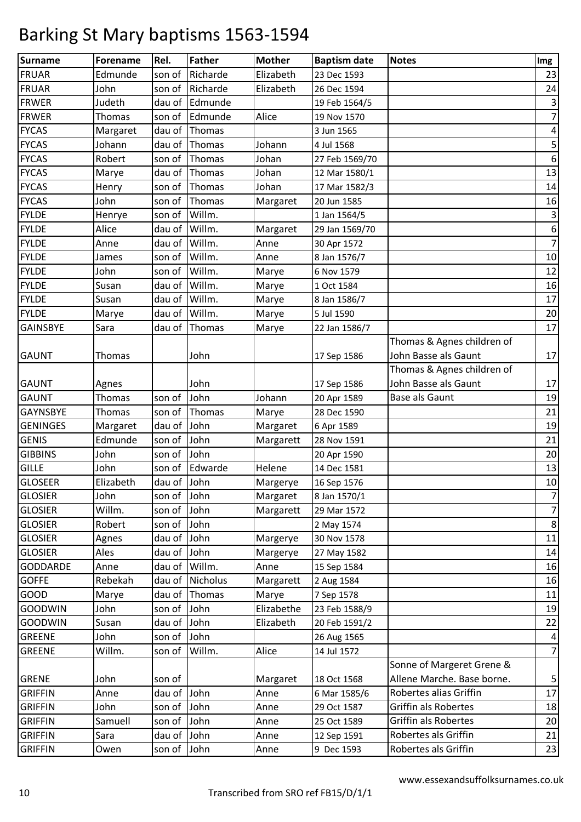| Surname         | Forename  | Rel.        | Father          | <b>Mother</b> | <b>Baptism date</b> | <b>Notes</b>               | Img                     |
|-----------------|-----------|-------------|-----------------|---------------|---------------------|----------------------------|-------------------------|
| <b>FRUAR</b>    | Edmunde   | son of      | Richarde        | Elizabeth     | 23 Dec 1593         |                            | 23                      |
| <b>FRUAR</b>    | John      | son of      | Richarde        | Elizabeth     | 26 Dec 1594         |                            | 24                      |
| <b>FRWER</b>    | Judeth    | dau of      | Edmunde         |               | 19 Feb 1564/5       |                            | $\mathbf{3}$            |
| <b>FRWER</b>    | Thomas    | son of      | Edmunde         | Alice         | 19 Nov 1570         |                            | $\overline{7}$          |
| <b>FYCAS</b>    | Margaret  | dau of      | Thomas          |               | 3 Jun 1565          |                            | $\overline{a}$          |
| <b>FYCAS</b>    | Johann    | dau of      | Thomas          | Johann        | 4 Jul 1568          |                            | $\mathsf S$             |
| <b>FYCAS</b>    | Robert    | son of      | Thomas          | Johan         | 27 Feb 1569/70      |                            | $\boldsymbol{6}$        |
| <b>FYCAS</b>    | Marye     | dau of      | Thomas          | Johan         | 12 Mar 1580/1       |                            | 13                      |
| <b>FYCAS</b>    | Henry     | son of      | Thomas          | Johan         | 17 Mar 1582/3       |                            | 14                      |
| <b>FYCAS</b>    | John      | son of      | Thomas          | Margaret      | 20 Jun 1585         |                            | 16                      |
| <b>FYLDE</b>    | Henrye    | son of      | Willm.          |               | 1 Jan 1564/5        |                            | $\mathsf 3$             |
| <b>FYLDE</b>    | Alice     | dau of      | Willm.          | Margaret      | 29 Jan 1569/70      |                            | $\boldsymbol{6}$        |
| <b>FYLDE</b>    | Anne      | dau of      | Willm.          | Anne          | 30 Apr 1572         |                            | $\overline{7}$          |
| <b>FYLDE</b>    | James     | son of      | Willm.          | Anne          | 8 Jan 1576/7        |                            | 10                      |
| <b>FYLDE</b>    | John      | son of      | Willm.          | Marye         | 6 Nov 1579          |                            | 12                      |
| <b>FYLDE</b>    | Susan     | dau of      | Willm.          | Marye         | 1 Oct 1584          |                            | 16                      |
| <b>FYLDE</b>    | Susan     | dau of      | Willm.          | Marye         | 8 Jan 1586/7        |                            | 17                      |
| <b>FYLDE</b>    | Marye     | dau of      | Willm.          | Marye         | 5 Jul 1590          |                            | 20                      |
| <b>GAINSBYE</b> | Sara      | dau of      | Thomas          | Marye         | 22 Jan 1586/7       |                            | 17                      |
|                 |           |             |                 |               |                     | Thomas & Agnes children of |                         |
| <b>GAUNT</b>    | Thomas    |             | John            |               | 17 Sep 1586         | John Basse als Gaunt       | 17                      |
|                 |           |             |                 |               |                     | Thomas & Agnes children of |                         |
| <b>GAUNT</b>    | Agnes     |             | John            |               | 17 Sep 1586         | John Basse als Gaunt       | 17                      |
| <b>GAUNT</b>    | Thomas    | son of      | John            | Johann        | 20 Apr 1589         | <b>Base als Gaunt</b>      | 19                      |
| GAYNSBYE        | Thomas    | son of      | Thomas          | Marye         | 28 Dec 1590         |                            | 21                      |
| <b>GENINGES</b> | Margaret  | dau of      | John            | Margaret      | 6 Apr 1589          |                            | 19                      |
| <b>GENIS</b>    | Edmunde   | son of      | John            | Margarett     | 28 Nov 1591         |                            | 21                      |
| <b>GIBBINS</b>  | John      | son of      | John            |               | 20 Apr 1590         |                            | 20                      |
| <b>GILLE</b>    | John      | son of      | Edwarde         | Helene        | 14 Dec 1581         |                            | 13                      |
| <b>GLOSEER</b>  | Elizabeth | dau of John |                 | Margerye      | 16 Sep 1576         |                            | 10                      |
| <b>GLOSIER</b>  | John      | son of John |                 | Margaret      | 8 Jan 1570/1        |                            | $\overline{7}$          |
| <b>GLOSIER</b>  | Willm.    | son of John |                 | Margarett     | 29 Mar 1572         |                            | $\overline{7}$          |
| <b>GLOSIER</b>  | Robert    | son of      | John            |               | 2 May 1574          |                            | $\bf 8$                 |
| <b>GLOSIER</b>  | Agnes     | dau of John |                 | Margerye      | 30 Nov 1578         |                            | 11                      |
| <b>GLOSIER</b>  | Ales      | dau of      | John            | Margerye      | 27 May 1582         |                            | 14                      |
| <b>GODDARDE</b> | Anne      | dau of      | Willm.          | Anne          | 15 Sep 1584         |                            | 16                      |
| <b>GOFFE</b>    | Rebekah   | dau of      | <b>Nicholus</b> | Margarett     | 2 Aug 1584          |                            | 16                      |
| GOOD            | Marye     | dau of      | Thomas          | Marye         | 7 Sep 1578          |                            | 11                      |
| <b>GOODWIN</b>  | John      | son of      | John            | Elizabethe    | 23 Feb 1588/9       |                            | 19                      |
| <b>GOODWIN</b>  | Susan     | dau of John |                 | Elizabeth     | 20 Feb 1591/2       |                            | 22                      |
| <b>GREENE</b>   | John      | son of John |                 |               | 26 Aug 1565         |                            | $\overline{\mathbf{r}}$ |
| <b>GREENE</b>   | Willm.    | son of      | Willm.          | Alice         | 14 Jul 1572         |                            | $\overline{7}$          |
|                 |           |             |                 |               |                     | Sonne of Margeret Grene &  |                         |
| <b>GRENE</b>    | John      | son of      |                 | Margaret      | 18 Oct 1568         | Allene Marche. Base borne. | 5                       |
| <b>GRIFFIN</b>  | Anne      | dau of John |                 | Anne          | 6 Mar 1585/6        | Robertes alias Griffin     | 17                      |
| <b>GRIFFIN</b>  | John      | son of John |                 | Anne          | 29 Oct 1587         | Griffin als Robertes       | 18                      |
| <b>GRIFFIN</b>  | Samuell   | son of      | John            | Anne          | 25 Oct 1589         | Griffin als Robertes       | 20                      |
| <b>GRIFFIN</b>  | Sara      | dau of John |                 | Anne          | 12 Sep 1591         | Robertes als Griffin       | 21                      |
| <b>GRIFFIN</b>  | Owen      | son of John |                 | Anne          | 9 Dec 1593          | Robertes als Griffin       | 23                      |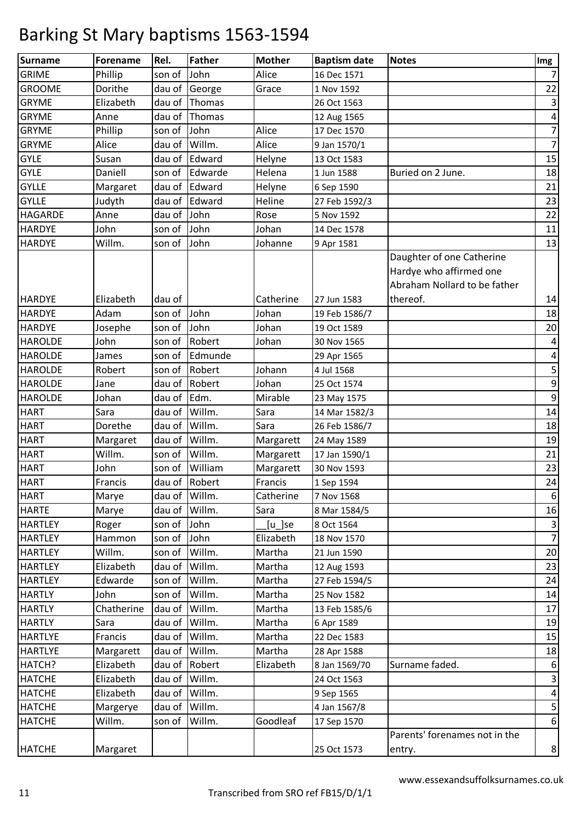| <b>Surname</b> | <b>Forename</b> | Rel.          | <b>Father</b> | <b>Mother</b> | <b>Baptism date</b> | <b>Notes</b>                  | Img                     |
|----------------|-----------------|---------------|---------------|---------------|---------------------|-------------------------------|-------------------------|
| <b>GRIME</b>   | Phillip         | son of        | John          | Alice         | 16 Dec 1571         |                               | $\overline{7}$          |
| <b>GROOME</b>  | Dorithe         | dau of        | George        | Grace         | 1 Nov 1592          |                               | 22                      |
| <b>GRYME</b>   | Elizabeth       | dau of        | Thomas        |               | 26 Oct 1563         |                               | $\mathsf 3$             |
| <b>GRYME</b>   | Anne            | dau of        | Thomas        |               | 12 Aug 1565         |                               | 4                       |
| <b>GRYME</b>   | Phillip         | son of        | John          | Alice         | 17 Dec 1570         |                               | $\overline{7}$          |
| <b>GRYME</b>   | Alice           | dau of        | Willm.        | Alice         | 9 Jan 1570/1        |                               | $\overline{7}$          |
| <b>GYLE</b>    | Susan           | dau of        | Edward        | Helyne        | 13 Oct 1583         |                               | 15                      |
| <b>GYLE</b>    | Daniell         | son of        | Edwarde       | Helena        | 1 Jun 1588          | Buried on 2 June.             | 18                      |
| <b>GYLLE</b>   | Margaret        | dau of        | Edward        | Helyne        | 6 Sep 1590          |                               | 21                      |
| <b>GYLLE</b>   | Judyth          | dau of        | Edward        | Heline        | 27 Feb 1592/3       |                               | 23                      |
| HAGARDE        | Anne            | dau of        | John          | Rose          | 5 Nov 1592          |                               | 22                      |
| <b>HARDYE</b>  | John            | son of        | John          | Johan         | 14 Dec 1578         |                               | 11                      |
| <b>HARDYE</b>  | Willm.          | son of        | John          | Johanne       | 9 Apr 1581          |                               | 13                      |
|                |                 |               |               |               |                     | Daughter of one Catherine     |                         |
|                |                 |               |               |               |                     | Hardye who affirmed one       |                         |
|                |                 |               |               |               |                     | Abraham Nollard to be father  |                         |
| <b>HARDYE</b>  | Elizabeth       | dau of        |               | Catherine     | 27 Jun 1583         | thereof.                      | 14                      |
| <b>HARDYE</b>  | Adam            | son of        | John          | Johan         | 19 Feb 1586/7       |                               | 18                      |
| <b>HARDYE</b>  | Josephe         | son of        | John          | Johan         | 19 Oct 1589         |                               | 20                      |
| <b>HAROLDE</b> | John            | son of        | Robert        | Johan         | 30 Nov 1565         |                               | $\overline{\mathbf{r}}$ |
| <b>HAROLDE</b> | James           | son of        | Edmunde       |               | 29 Apr 1565         |                               | 4                       |
| <b>HAROLDE</b> | Robert          | son of        | Robert        | Johann        | 4 Jul 1568          |                               | 5                       |
| <b>HAROLDE</b> | Jane            | dau of        | Robert        | Johan         | 25 Oct 1574         |                               | $\mathsf 9$             |
| <b>HAROLDE</b> | Johan           | dau of        | Edm.          | Mirable       | 23 May 1575         |                               | $\mathsf 9$             |
| <b>HART</b>    | Sara            | dau of        | Willm.        | Sara          | 14 Mar 1582/3       |                               | 14                      |
| <b>HART</b>    | Dorethe         | dau of        | Willm.        | Sara          | 26 Feb 1586/7       |                               | 18                      |
| <b>HART</b>    | Margaret        | dau of        | Willm.        | Margarett     | 24 May 1589         |                               | 19                      |
| <b>HART</b>    | Willm.          | son of        | Willm.        | Margarett     | 17 Jan 1590/1       |                               | 21                      |
| <b>HART</b>    | John            | son of        | William       | Margarett     | 30 Nov 1593         |                               | 23                      |
| <b>HART</b>    | Francis         | dau of        | Robert        | Francis       | 1 Sep 1594          |                               | 24                      |
| <b>HART</b>    | Marye           | dau of Willm. |               | Catherine     | 7 Nov 1568          |                               | 6                       |
| <b>HARTE</b>   | Marye           | dau of        | Willm.        | Sara          | 8 Mar 1584/5        |                               | 16                      |
| <b>HARTLEY</b> | Roger           | son of        | John          | [u_]se        | 8 Oct 1564          |                               | $\mathsf 3$             |
| <b>HARTLEY</b> | Hammon          | son of        | John          | Elizabeth     | 18 Nov 1570         |                               | $\overline{7}$          |
| <b>HARTLEY</b> | Willm.          | son of        | Willm.        | Martha        | 21 Jun 1590         |                               | 20                      |
| <b>HARTLEY</b> | Elizabeth       | dau of        | Willm.        | Martha        | 12 Aug 1593         |                               | 23                      |
| <b>HARTLEY</b> | Edwarde         | son of        | Willm.        | Martha        | 27 Feb 1594/5       |                               | 24                      |
| <b>HARTLY</b>  | John            | son of        | Willm.        | Martha        | 25 Nov 1582         |                               | 14                      |
| <b>HARTLY</b>  | Chatherine      | dau of        | Willm.        | Martha        | 13 Feb 1585/6       |                               | 17                      |
| <b>HARTLY</b>  | Sara            | dau of        | Willm.        | Martha        | 6 Apr 1589          |                               | 19                      |
| <b>HARTLYE</b> | Francis         | dau of        | Willm.        | Martha        | 22 Dec 1583         |                               | 15                      |
| <b>HARTLYE</b> | Margarett       | dau of        | Willm.        | Martha        | 28 Apr 1588         |                               | 18                      |
| HATCH?         | Elizabeth       | dau of        | Robert        | Elizabeth     | 8 Jan 1569/70       | Surname faded.                | $\boldsymbol{6}$        |
| <b>HATCHE</b>  | Elizabeth       | dau of        | Willm.        |               | 24 Oct 1563         |                               | $\mathsf 3$             |
| <b>HATCHE</b>  | Elizabeth       | dau of        | Willm.        |               | 9 Sep 1565          |                               | $\overline{\mathbf{4}}$ |
| <b>HATCHE</b>  | Margerye        | dau of        | Willm.        |               | 4 Jan 1567/8        |                               | 5                       |
| <b>HATCHE</b>  | Willm.          | son of        | Willm.        | Goodleaf      | 17 Sep 1570         |                               | 6                       |
|                |                 |               |               |               |                     | Parents' forenames not in the |                         |
| <b>HATCHE</b>  | Margaret        |               |               |               | 25 Oct 1573         | entry.                        | $\,8\,$                 |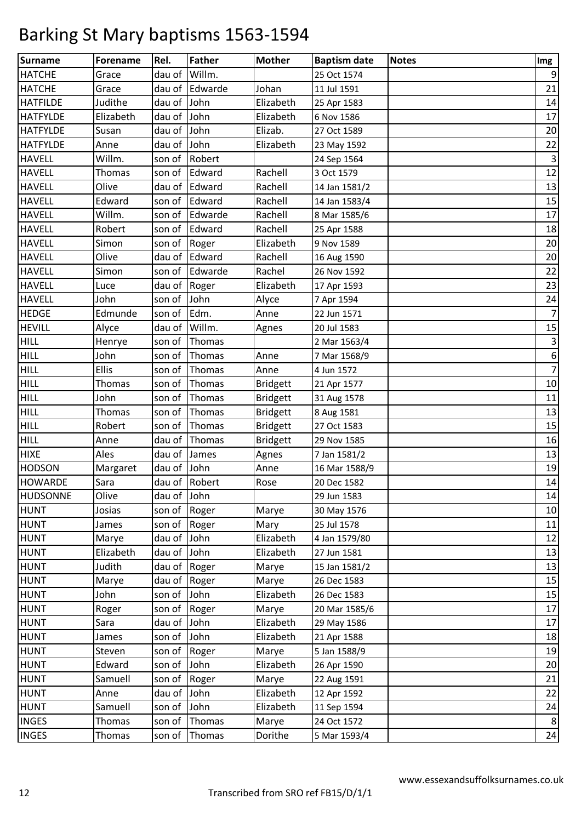| <b>Surname</b>  | <b>Forename</b> | Rel.         | <b>Father</b> | <b>Mother</b>   | <b>Baptism date</b> | <b>Notes</b> | Img            |
|-----------------|-----------------|--------------|---------------|-----------------|---------------------|--------------|----------------|
| <b>HATCHE</b>   | Grace           | dau of       | Willm.        |                 | 25 Oct 1574         |              | 9              |
| <b>HATCHE</b>   | Grace           | dau of       | Edwarde       | Johan           | 11 Jul 1591         |              | 21             |
| <b>HATFILDE</b> | Judithe         | dau of John  |               | Elizabeth       | 25 Apr 1583         |              | 14             |
| <b>HATFYLDE</b> | Elizabeth       | dau of John  |               | Elizabeth       | 6 Nov 1586          |              | 17             |
| <b>HATFYLDE</b> | Susan           | dau of       | John          | Elizab.         | 27 Oct 1589         |              | 20             |
| <b>HATFYLDE</b> | Anne            | dau of       | John          | Elizabeth       | 23 May 1592         |              | 22             |
| <b>HAVELL</b>   | Willm.          | son of       | Robert        |                 | 24 Sep 1564         |              | $\mathsf 3$    |
| <b>HAVELL</b>   | Thomas          | son of       | Edward        | Rachell         | 3 Oct 1579          |              | 12             |
| <b>HAVELL</b>   | Olive           |              | dau of Edward | Rachell         | 14 Jan 1581/2       |              | 13             |
| <b>HAVELL</b>   | Edward          | son of       | Edward        | Rachell         | 14 Jan 1583/4       |              | 15             |
| <b>HAVELL</b>   | Willm.          | son of       | Edwarde       | Rachell         | 8 Mar 1585/6        |              | 17             |
| <b>HAVELL</b>   | Robert          | son of       | Edward        | Rachell         | 25 Apr 1588         |              | 18             |
| <b>HAVELL</b>   | Simon           | son of       | Roger         | Elizabeth       | 9 Nov 1589          |              | 20             |
| <b>HAVELL</b>   | Olive           |              | dau of Edward | Rachell         | 16 Aug 1590         |              | 20             |
| <b>HAVELL</b>   | Simon           | son of       | Edwarde       | Rachel          | 26 Nov 1592         |              | 22             |
| <b>HAVELL</b>   | Luce            | dau of       | Roger         | Elizabeth       | 17 Apr 1593         |              | 23             |
| <b>HAVELL</b>   | John            | son of       | John          | Alyce           | 7 Apr 1594          |              | 24             |
| <b>HEDGE</b>    | Edmunde         | son of       | Edm.          | Anne            | 22 Jun 1571         |              | $\overline{7}$ |
| <b>HEVILL</b>   | Alyce           | dau of       | Willm.        | Agnes           | 20 Jul 1583         |              | 15             |
| <b>HILL</b>     | Henrye          | son of       | Thomas        |                 | 2 Mar 1563/4        |              | $\mathsf 3$    |
| HILL            | John            | son of       | Thomas        | Anne            | 7 Mar 1568/9        |              | 6              |
| <b>HILL</b>     | <b>Ellis</b>    | son of       | Thomas        | Anne            | 4 Jun 1572          |              | $\overline{7}$ |
| HILL            | Thomas          | son of       | Thomas        | <b>Bridgett</b> | 21 Apr 1577         |              | $10\,$         |
| <b>HILL</b>     | John            | son of       | Thomas        | <b>Bridgett</b> | 31 Aug 1578         |              | $11\,$         |
| <b>HILL</b>     | Thomas          | son of       | Thomas        | <b>Bridgett</b> | 8 Aug 1581          |              | 13             |
| HILL            | Robert          | son of       | Thomas        | <b>Bridgett</b> | 27 Oct 1583         |              | 15             |
| <b>HILL</b>     | Anne            | dau of       | Thomas        | <b>Bridgett</b> | 29 Nov 1585         |              | 16             |
| <b>HIXE</b>     | Ales            | dau of James |               | Agnes           | 7 Jan 1581/2        |              | 13             |
| <b>HODSON</b>   | Margaret        | dau of John  |               | Anne            | 16 Mar 1588/9       |              | 19             |
| <b>HOWARDE</b>  | Sara            |              | dau of Robert | Rose            | 20 Dec 1582         |              | 14             |
| <b>HUDSONNE</b> | Olive           | dau of John  |               |                 | 29 Jun 1583         |              | 14             |
| <b>HUNT</b>     | Josias          | son of Roger |               | Marye           | 30 May 1576         |              | 10             |
| <b>HUNT</b>     | James           | son of Roger |               | Mary            | 25 Jul 1578         |              | $11\,$         |
| <b>HUNT</b>     | Marye           | dau of John  |               | Elizabeth       | 4 Jan 1579/80       |              | 12             |
| <b>HUNT</b>     | Elizabeth       | dau of       | John          | Elizabeth       | 27 Jun 1581         |              | 13             |
| <b>HUNT</b>     | Judith          | dau of       | Roger         | Marye           | 15 Jan 1581/2       |              | 13             |
| <b>HUNT</b>     | Marye           | dau of Roger |               | Marye           | 26 Dec 1583         |              | 15             |
| <b>HUNT</b>     | John            | son of John  |               | Elizabeth       | 26 Dec 1583         |              | 15             |
| <b>HUNT</b>     | Roger           | son of       | Roger         | Marye           | 20 Mar 1585/6       |              | 17             |
| <b>HUNT</b>     | Sara            | dau of John  |               | Elizabeth       | 29 May 1586         |              | 17             |
| <b>HUNT</b>     | James           | son of John  |               | Elizabeth       | 21 Apr 1588         |              | 18             |
| <b>HUNT</b>     | Steven          | son of       | Roger         | Marye           | 5 Jan 1588/9        |              | 19             |
| <b>HUNT</b>     | Edward          | son of       | John          | Elizabeth       | 26 Apr 1590         |              | 20             |
| <b>HUNT</b>     | Samuell         | son of       | Roger         | Marye           | 22 Aug 1591         |              | 21             |
| <b>HUNT</b>     | Anne            | dau of       | John          | Elizabeth       | 12 Apr 1592         |              | 22             |
| <b>HUNT</b>     | Samuell         | son of       | John          | Elizabeth       | 11 Sep 1594         |              | 24             |
| <b>INGES</b>    | Thomas          | son of       | Thomas        | Marye           | 24 Oct 1572         |              | 8              |
| <b>INGES</b>    | Thomas          | son of       | Thomas        | Dorithe         | 5 Mar 1593/4        |              | 24             |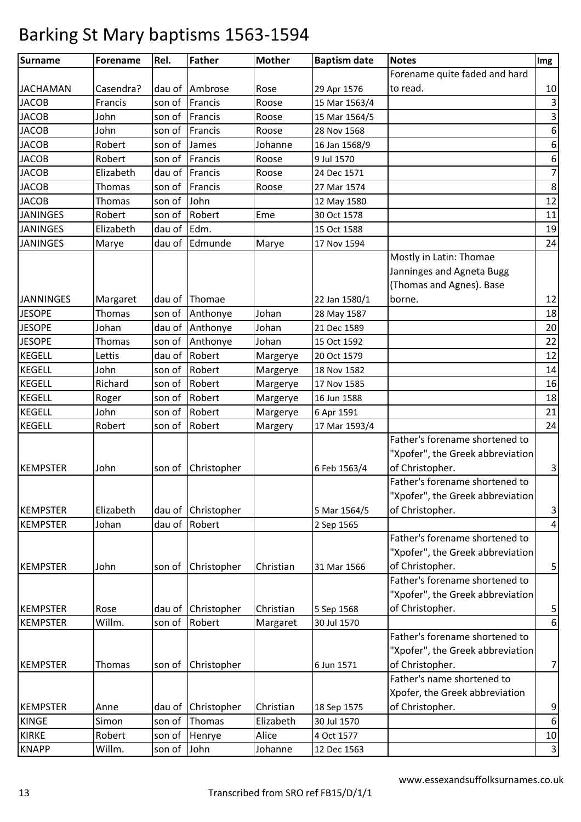| <b>Surname</b>   | <b>Forename</b> | Rel.   | <b>Father</b> | <b>Mother</b> | <b>Baptism date</b> | <b>Notes</b>                     | Img                       |
|------------------|-----------------|--------|---------------|---------------|---------------------|----------------------------------|---------------------------|
|                  |                 |        |               |               |                     | Forename quite faded and hard    |                           |
| <b>JACHAMAN</b>  | Casendra?       | dau of | Ambrose       | Rose          | 29 Apr 1576         | to read.                         | 10                        |
| <b>JACOB</b>     | Francis         | son of | Francis       | Roose         | 15 Mar 1563/4       |                                  | $\mathsf{3}$              |
| <b>JACOB</b>     | John            | son of | Francis       | Roose         | 15 Mar 1564/5       |                                  | $\mathsf 3$               |
| <b>JACOB</b>     | John            | son of | Francis       | Roose         | 28 Nov 1568         |                                  | $\boldsymbol{6}$          |
| <b>JACOB</b>     | Robert          | son of | James         | Johanne       | 16 Jan 1568/9       |                                  | 6                         |
| <b>JACOB</b>     | Robert          | son of | Francis       | Roose         | 9 Jul 1570          |                                  | $\boldsymbol{6}$          |
| <b>JACOB</b>     | Elizabeth       | dau of | Francis       | Roose         | 24 Dec 1571         |                                  | $\overline{7}$            |
| <b>JACOB</b>     | <b>Thomas</b>   | son of | Francis       | Roose         | 27 Mar 1574         |                                  | $\bf 8$                   |
| <b>JACOB</b>     | Thomas          | son of | John          |               | 12 May 1580         |                                  | 12                        |
| <b>JANINGES</b>  | Robert          | son of | Robert        | Eme           | 30 Oct 1578         |                                  | 11                        |
| <b>JANINGES</b>  | Elizabeth       | dau of | Edm.          |               | 15 Oct 1588         |                                  | 19                        |
| <b>JANINGES</b>  | Marye           | dau of | Edmunde       | Marye         | 17 Nov 1594         |                                  | 24                        |
|                  |                 |        |               |               |                     | Mostly in Latin: Thomae          |                           |
|                  |                 |        |               |               |                     | Janninges and Agneta Bugg        |                           |
|                  |                 |        |               |               |                     | (Thomas and Agnes). Base         |                           |
| <b>JANNINGES</b> | Margaret        | dau of | Thomae        |               | 22 Jan 1580/1       | borne.                           | 12                        |
| <b>JESOPE</b>    | Thomas          | son of | Anthonye      | Johan         | 28 May 1587         |                                  | 18                        |
| <b>JESOPE</b>    | Johan           | dau of | Anthonye      | Johan         | 21 Dec 1589         |                                  | 20                        |
| <b>JESOPE</b>    | Thomas          | son of | Anthonye      | Johan         | 15 Oct 1592         |                                  | 22                        |
| <b>KEGELL</b>    | Lettis          | dau of | Robert        | Margerye      | 20 Oct 1579         |                                  | 12                        |
| <b>KEGELL</b>    | John            | son of | Robert        | Margerye      | 18 Nov 1582         |                                  | 14                        |
| <b>KEGELL</b>    | Richard         | son of | Robert        | Margerye      | 17 Nov 1585         |                                  | 16                        |
| <b>KEGELL</b>    | Roger           | son of | Robert        | Margerye      | 16 Jun 1588         |                                  | 18                        |
| <b>KEGELL</b>    | John            | son of | Robert        | Margerye      | 6 Apr 1591          |                                  | 21                        |
| <b>KEGELL</b>    | Robert          | son of | Robert        | Margery       | 17 Mar 1593/4       |                                  | 24                        |
|                  |                 |        |               |               |                     | Father's forename shortened to   |                           |
|                  |                 |        |               |               |                     | "Xpofer", the Greek abbreviation |                           |
| <b>KEMPSTER</b>  | John            | son of | Christopher   |               | 6 Feb 1563/4        | of Christopher.                  | 3                         |
|                  |                 |        |               |               |                     | Father's forename shortened to   |                           |
|                  |                 |        |               |               |                     | "Xpofer", the Greek abbreviation |                           |
| <b>KEMPSTER</b>  | Elizabeth       | dau of | Christopher   |               | 5 Mar 1564/5        | of Christopher.                  | 3                         |
| <b>KEMPSTER</b>  | Johan           | dau of | Robert        |               | 2 Sep 1565          |                                  | $\pmb{4}$                 |
|                  |                 |        |               |               |                     | Father's forename shortened to   |                           |
|                  |                 |        |               |               |                     | "Xpofer", the Greek abbreviation |                           |
| <b>KEMPSTER</b>  | John            | son of | Christopher   | Christian     | 31 Mar 1566         | of Christopher.                  | 5                         |
|                  |                 |        |               |               |                     | Father's forename shortened to   |                           |
|                  |                 |        |               |               |                     | "Xpofer", the Greek abbreviation |                           |
| <b>KEMPSTER</b>  | Rose            | dau of | Christopher   | Christian     | 5 Sep 1568          | of Christopher.                  | 5                         |
| <b>KEMPSTER</b>  | Willm.          | son of | Robert        | Margaret      | 30 Jul 1570         |                                  | $\boldsymbol{6}$          |
|                  |                 |        |               |               |                     | Father's forename shortened to   |                           |
|                  |                 |        |               |               |                     | "Xpofer", the Greek abbreviation |                           |
| <b>KEMPSTER</b>  | Thomas          | son of | Christopher   |               | 6 Jun 1571          | of Christopher.                  | $\overline{7}$            |
|                  |                 |        |               |               |                     | Father's name shortened to       |                           |
|                  |                 |        |               |               |                     | Xpofer, the Greek abbreviation   |                           |
| <b>KEMPSTER</b>  | Anne            | dau of | Christopher   | Christian     | 18 Sep 1575         | of Christopher.                  | 9                         |
| <b>KINGE</b>     | Simon           | son of | Thomas        | Elizabeth     | 30 Jul 1570         |                                  | $\boldsymbol{6}$          |
| <b>KIRKE</b>     | Robert          | son of | Henrye        | Alice         | 4 Oct 1577          |                                  | 10                        |
| <b>KNAPP</b>     | Willm.          | son of | John          | Johanne       | 12 Dec 1563         |                                  | $\ensuremath{\mathsf{3}}$ |
|                  |                 |        |               |               |                     |                                  |                           |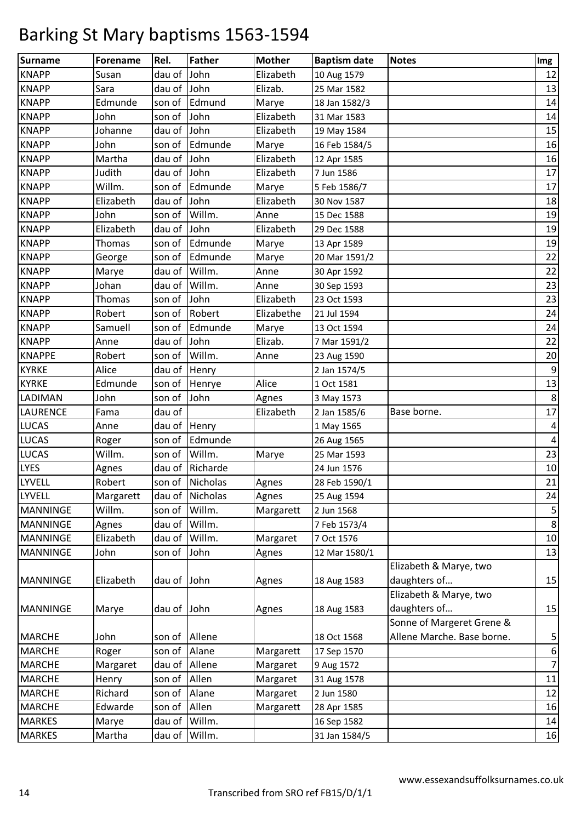| <b>Surname</b>  | Forename      | Rel.          | <b>Father</b>   | <b>Mother</b> | <b>Baptism date</b> | <b>Notes</b>               | Img            |
|-----------------|---------------|---------------|-----------------|---------------|---------------------|----------------------------|----------------|
| <b>KNAPP</b>    | Susan         | dau of John   |                 | Elizabeth     | 10 Aug 1579         |                            | 12             |
| <b>KNAPP</b>    | Sara          | dau of        | John            | Elizab.       | 25 Mar 1582         |                            | 13             |
| <b>KNAPP</b>    | Edmunde       | son of        | Edmund          | Marye         | 18 Jan 1582/3       |                            | 14             |
| <b>KNAPP</b>    | John          | son of        | John            | Elizabeth     | 31 Mar 1583         |                            | 14             |
| <b>KNAPP</b>    | Johanne       | dau of        | John            | Elizabeth     | 19 May 1584         |                            | 15             |
| <b>KNAPP</b>    | John          | son of        | Edmunde         | Marye         | 16 Feb 1584/5       |                            | 16             |
| <b>KNAPP</b>    | Martha        | dau of        | John            | Elizabeth     | 12 Apr 1585         |                            | 16             |
| <b>KNAPP</b>    | Judith        | dau of        | John            | Elizabeth     | 7 Jun 1586          |                            | 17             |
| <b>KNAPP</b>    | Willm.        | son of        | Edmunde         | Marye         | 5 Feb 1586/7        |                            | 17             |
| <b>KNAPP</b>    | Elizabeth     | dau of        | John            | Elizabeth     | 30 Nov 1587         |                            | 18             |
| <b>KNAPP</b>    | John          | son of        | Willm.          | Anne          | 15 Dec 1588         |                            | 19             |
| <b>KNAPP</b>    | Elizabeth     | dau of        | John            | Elizabeth     | 29 Dec 1588         |                            | 19             |
| <b>KNAPP</b>    | <b>Thomas</b> | son of        | Edmunde         | Marye         | 13 Apr 1589         |                            | 19             |
| <b>KNAPP</b>    | George        | son of        | Edmunde         | Marye         | 20 Mar 1591/2       |                            | 22             |
| <b>KNAPP</b>    | Marye         | dau of        | Willm.          | Anne          | 30 Apr 1592         |                            | 22             |
| <b>KNAPP</b>    | Johan         | dau of        | Willm.          | Anne          | 30 Sep 1593         |                            | 23             |
| <b>KNAPP</b>    | Thomas        | son of        | John            | Elizabeth     | 23 Oct 1593         |                            | 23             |
| <b>KNAPP</b>    | Robert        | son of        | Robert          | Elizabethe    | 21 Jul 1594         |                            | 24             |
| <b>KNAPP</b>    | Samuell       | son of        | Edmunde         | Marye         | 13 Oct 1594         |                            | 24             |
| <b>KNAPP</b>    | Anne          | dau of        | John            | Elizab.       | 7 Mar 1591/2        |                            | 22             |
| <b>KNAPPE</b>   | Robert        | son of        | Willm.          | Anne          | 23 Aug 1590         |                            | 20             |
| <b>KYRKE</b>    | Alice         | dau of        | Henry           |               | 2 Jan 1574/5        |                            | 9              |
| <b>KYRKE</b>    | Edmunde       | son of        | Henrye          | Alice         | 1 Oct 1581          |                            | 13             |
| LADIMAN         | John          | son of        | John            | Agnes         | 3 May 1573          |                            | 8              |
| <b>LAURENCE</b> | Fama          | dau of        |                 | Elizabeth     | 2 Jan 1585/6        | Base borne.                | $17\,$         |
| <b>LUCAS</b>    | Anne          | dau of        | Henry           |               | 1 May 1565          |                            | 4              |
| <b>LUCAS</b>    | Roger         | son of        | Edmunde         |               | 26 Aug 1565         |                            | $\pmb{4}$      |
| <b>LUCAS</b>    | Willm.        | son of        | Willm.          | Marye         | 25 Mar 1593         |                            | 23             |
| <b>LYES</b>     | Agnes         | dau of        | Richarde        |               | 24 Jun 1576         |                            | $10\,$         |
| LYVELL          | Robert        |               | son of Nicholas | Agnes         | 28 Feb 1590/1       |                            | 21             |
| <b>LYVELL</b>   | Margarett     |               | dau of Nicholas | Agnes         | 25 Aug 1594         |                            | 24             |
| MANNINGE        | Willm.        | son of        | Willm.          | Margarett     | 2 Jun 1568          |                            | 5              |
| <b>MANNINGE</b> | Agnes         | dau of Willm. |                 |               | 7 Feb 1573/4        |                            | $\bf 8$        |
| <b>MANNINGE</b> | Elizabeth     | dau of        | Willm.          | Margaret      | 7 Oct 1576          |                            | $10\,$         |
| <b>MANNINGE</b> | John          | son of        | John            | Agnes         | 12 Mar 1580/1       |                            | 13             |
|                 |               |               |                 |               |                     | Elizabeth & Marye, two     |                |
| <b>MANNINGE</b> | Elizabeth     | dau of John   |                 | Agnes         | 18 Aug 1583         | daughters of               | 15             |
|                 |               |               |                 |               |                     | Elizabeth & Marye, two     |                |
| <b>MANNINGE</b> | Marye         | dau of John   |                 | Agnes         | 18 Aug 1583         | daughters of               | 15             |
|                 |               |               |                 |               |                     | Sonne of Margeret Grene &  |                |
| <b>MARCHE</b>   | John          | son of Allene |                 |               | 18 Oct 1568         | Allene Marche. Base borne. | 5              |
| <b>MARCHE</b>   | Roger         | son of        | Alane           | Margarett     | 17 Sep 1570         |                            | 6              |
| <b>MARCHE</b>   | Margaret      | dau of Allene |                 | Margaret      | 9 Aug 1572          |                            | $\overline{7}$ |
| <b>MARCHE</b>   | Henry         | son of        | Allen           | Margaret      | 31 Aug 1578         |                            | 11             |
| <b>MARCHE</b>   | Richard       | son of        | Alane           | Margaret      | 2 Jun 1580          |                            | 12             |
| <b>MARCHE</b>   | Edwarde       | son of        | Allen           | Margarett     | 28 Apr 1585         |                            | 16             |
| <b>MARKES</b>   | Marye         | dau of        | Willm.          |               | 16 Sep 1582         |                            | 14             |
| <b>MARKES</b>   | Martha        | dau of        | Willm.          |               | 31 Jan 1584/5       |                            | 16             |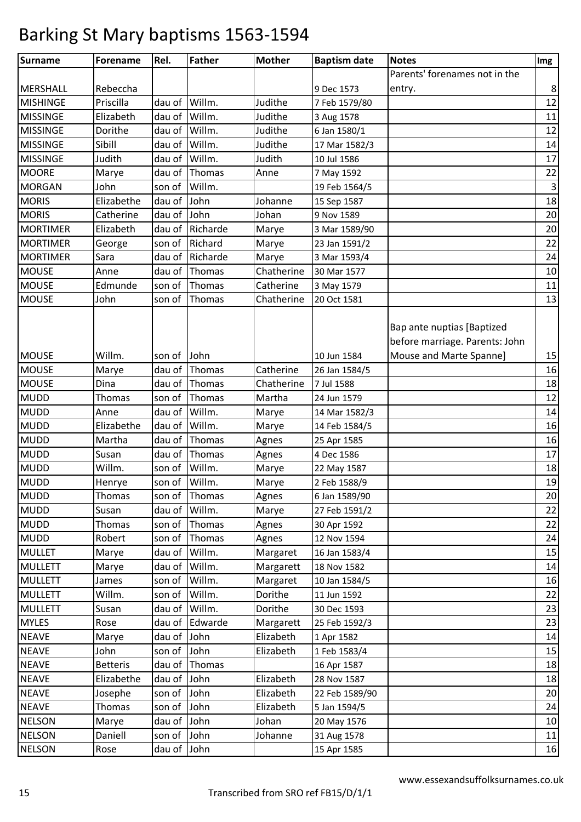| <b>Surname</b>  | <b>Forename</b> | Rel.          | <b>Father</b> | <b>Mother</b> | <b>Baptism date</b> | <b>Notes</b>                                                 | Img         |
|-----------------|-----------------|---------------|---------------|---------------|---------------------|--------------------------------------------------------------|-------------|
|                 |                 |               |               |               |                     | Parents' forenames not in the                                |             |
| <b>MERSHALL</b> | Rebeccha        |               |               |               | 9 Dec 1573          | entry.                                                       | 8           |
| <b>MISHINGE</b> | Priscilla       | dau of        | Willm.        | Judithe       | 7 Feb 1579/80       |                                                              | 12          |
| <b>MISSINGE</b> | Elizabeth       | dau of        | Willm.        | Judithe       | 3 Aug 1578          |                                                              | 11          |
| <b>MISSINGE</b> | Dorithe         | dau of        | Willm.        | Judithe       | 6 Jan 1580/1        |                                                              | 12          |
| <b>MISSINGE</b> | Sibill          | dau of        | Willm.        | Judithe       | 17 Mar 1582/3       |                                                              | 14          |
| <b>MISSINGE</b> | Judith          | dau of        | Willm.        | Judith        | 10 Jul 1586         |                                                              | 17          |
| <b>MOORE</b>    | Marye           | dau of        | Thomas        | Anne          | 7 May 1592          |                                                              | 22          |
| <b>MORGAN</b>   | John            | son of        | Willm.        |               | 19 Feb 1564/5       |                                                              | $\mathsf 3$ |
| <b>MORIS</b>    | Elizabethe      | dau of        | John          | Johanne       | 15 Sep 1587         |                                                              | 18          |
| <b>MORIS</b>    | Catherine       | dau of        | John          | Johan         | 9 Nov 1589          |                                                              | 20          |
| <b>MORTIMER</b> | Elizabeth       | dau of        | Richarde      | Marye         | 3 Mar 1589/90       |                                                              | 20          |
| <b>MORTIMER</b> | George          | son of        | Richard       | Marye         | 23 Jan 1591/2       |                                                              | 22          |
| <b>MORTIMER</b> | Sara            | dau of        | Richarde      | Marye         | 3 Mar 1593/4        |                                                              | 24          |
| <b>MOUSE</b>    | Anne            | dau of        | Thomas        | Chatherine    | 30 Mar 1577         |                                                              | 10          |
| <b>MOUSE</b>    | Edmunde         | son of        | Thomas        | Catherine     | 3 May 1579          |                                                              | 11          |
| <b>MOUSE</b>    | John            | son of        | Thomas        | Chatherine    | 20 Oct 1581         |                                                              | 13          |
|                 |                 |               |               |               |                     | Bap ante nuptias [Baptized<br>before marriage. Parents: John |             |
| <b>MOUSE</b>    | Willm.          | son of        | John          |               | 10 Jun 1584         | Mouse and Marte Spanne]                                      | 15          |
| <b>MOUSE</b>    | Marye           | dau of        | Thomas        | Catherine     | 26 Jan 1584/5       |                                                              | 16          |
| <b>MOUSE</b>    | Dina            | dau of        | Thomas        | Chatherine    | 7 Jul 1588          |                                                              | 18          |
| <b>MUDD</b>     | Thomas          | son of        | Thomas        | Martha        | 24 Jun 1579         |                                                              | 12          |
| <b>MUDD</b>     | Anne            | dau of        | Willm.        | Marye         | 14 Mar 1582/3       |                                                              | 14          |
| <b>MUDD</b>     | Elizabethe      | dau of        | Willm.        | Marye         | 14 Feb 1584/5       |                                                              | 16          |
| <b>MUDD</b>     | Martha          | dau of        | Thomas        | Agnes         | 25 Apr 1585         |                                                              | 16          |
| <b>MUDD</b>     | Susan           | dau of        | Thomas        | Agnes         | 4 Dec 1586          |                                                              | 17          |
| <b>MUDD</b>     | Willm.          | son of        | Willm.        | Marye         | 22 May 1587         |                                                              | 18          |
| <b>MUDD</b>     | Henrye          | son of        | Willm.        | Marye         | 2 Feb 1588/9        |                                                              | 19          |
| <b>MUDD</b>     | Thomas          |               | son of Thomas | Agnes         | 6 Jan 1589/90       |                                                              | 20          |
| <b>MUDD</b>     | Susan           | dau of Willm. |               | Marye         | 27 Feb 1591/2       |                                                              | 22          |
| <b>MUDD</b>     | Thomas          | son of        | Thomas        | Agnes         | 30 Apr 1592         |                                                              | 22          |
| <b>MUDD</b>     | Robert          | son of        | Thomas        | Agnes         | 12 Nov 1594         |                                                              | 24          |
| <b>MULLET</b>   | Marye           | dau of        | Willm.        | Margaret      | 16 Jan 1583/4       |                                                              | 15          |
| <b>MULLETT</b>  | Marye           | dau of        | Willm.        | Margarett     | 18 Nov 1582         |                                                              | 14          |
| <b>MULLETT</b>  | James           | son of        | Willm.        | Margaret      | 10 Jan 1584/5       |                                                              | 16          |
| <b>MULLETT</b>  | Willm.          | son of        | Willm.        | Dorithe       | 11 Jun 1592         |                                                              | 22          |
| <b>MULLETT</b>  | Susan           | dau of        | Willm.        | Dorithe       | 30 Dec 1593         |                                                              | 23          |
| <b>MYLES</b>    | Rose            | dau of        | Edwarde       | Margarett     | 25 Feb 1592/3       |                                                              | 23          |
| <b>NEAVE</b>    | Marye           | dau of John   |               | Elizabeth     | 1 Apr 1582          |                                                              | 14          |
| <b>NEAVE</b>    | John            | son of John   |               | Elizabeth     | 1 Feb 1583/4        |                                                              | 15          |
| <b>NEAVE</b>    | <b>Betteris</b> | dau of        | Thomas        |               | 16 Apr 1587         |                                                              | 18          |
| <b>NEAVE</b>    | Elizabethe      | dau of John   |               | Elizabeth     | 28 Nov 1587         |                                                              | 18          |
| <b>NEAVE</b>    | Josephe         | son of        | John          | Elizabeth     | 22 Feb 1589/90      |                                                              | 20          |
| <b>NEAVE</b>    | Thomas          | son of        | John          | Elizabeth     | 5 Jan 1594/5        |                                                              | 24          |
| <b>NELSON</b>   | Marye           | dau of John   |               | Johan         | 20 May 1576         |                                                              | 10          |
| <b>NELSON</b>   | Daniell         | son of John   |               | Johanne       | 31 Aug 1578         |                                                              | $11\,$      |
| <b>NELSON</b>   | Rose            | dau of John   |               |               | 15 Apr 1585         |                                                              | 16          |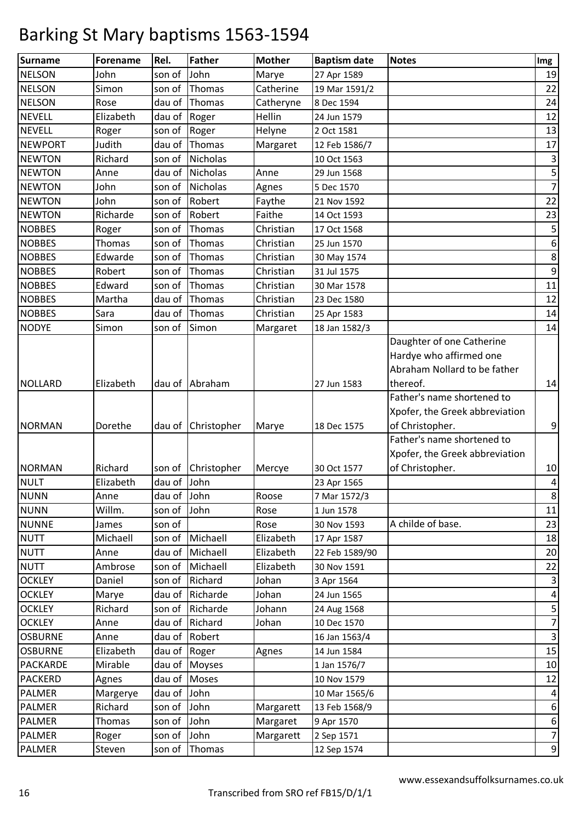| <b>Surname</b>  | <b>Forename</b> | Rel.         | <b>Father</b>  | <b>Mother</b> | <b>Baptism date</b> | <b>Notes</b>                   | Img                       |
|-----------------|-----------------|--------------|----------------|---------------|---------------------|--------------------------------|---------------------------|
| <b>NELSON</b>   | John            | son of       | John           | Marye         | 27 Apr 1589         |                                | 19                        |
| <b>NELSON</b>   | Simon           | son of       | Thomas         | Catherine     | 19 Mar 1591/2       |                                | 22                        |
| <b>NELSON</b>   | Rose            | dau of       | Thomas         | Catheryne     | 8 Dec 1594          |                                | 24                        |
| <b>NEVELL</b>   | Elizabeth       | dau of       | Roger          | Hellin        | 24 Jun 1579         |                                | 12                        |
| <b>NEVELL</b>   | Roger           | son of       | Roger          | Helyne        | 2 Oct 1581          |                                | 13                        |
| <b>NEWPORT</b>  | Judith          | dau of       | Thomas         | Margaret      | 12 Feb 1586/7       |                                | 17                        |
| <b>NEWTON</b>   | Richard         | son of       | Nicholas       |               | 10 Oct 1563         |                                | $\ensuremath{\mathsf{3}}$ |
| <b>NEWTON</b>   | Anne            | dau of       | Nicholas       | Anne          | 29 Jun 1568         |                                | 5                         |
| <b>NEWTON</b>   | John            | son of       | Nicholas       | Agnes         | 5 Dec 1570          |                                | $\overline{7}$            |
| <b>NEWTON</b>   | John            | son of       | Robert         | Faythe        | 21 Nov 1592         |                                | 22                        |
| <b>NEWTON</b>   | Richarde        | son of       | Robert         | Faithe        | 14 Oct 1593         |                                | 23                        |
| <b>NOBBES</b>   | Roger           | son of       | Thomas         | Christian     | 17 Oct 1568         |                                | 5                         |
| <b>NOBBES</b>   | Thomas          | son of       | Thomas         | Christian     | 25 Jun 1570         |                                | $\boldsymbol{6}$          |
| <b>NOBBES</b>   | Edwarde         | son of       | Thomas         | Christian     | 30 May 1574         |                                | 8                         |
| <b>NOBBES</b>   | Robert          | son of       | Thomas         | Christian     | 31 Jul 1575         |                                | $\boldsymbol{9}$          |
| <b>NOBBES</b>   | Edward          | son of       | Thomas         | Christian     | 30 Mar 1578         |                                | 11                        |
| <b>NOBBES</b>   | Martha          | dau of       | Thomas         | Christian     | 23 Dec 1580         |                                | 12                        |
| <b>NOBBES</b>   | Sara            | dau of       | Thomas         | Christian     | 25 Apr 1583         |                                | 14                        |
| <b>NODYE</b>    | Simon           | son of       | Simon          | Margaret      | 18 Jan 1582/3       |                                | 14                        |
|                 |                 |              |                |               |                     | Daughter of one Catherine      |                           |
|                 |                 |              |                |               |                     | Hardye who affirmed one        |                           |
|                 |                 |              |                |               |                     | Abraham Nollard to be father   |                           |
| <b>NOLLARD</b>  | Elizabeth       |              | dau of Abraham |               | 27 Jun 1583         | thereof.                       | 14                        |
|                 |                 |              |                |               |                     | Father's name shortened to     |                           |
|                 |                 |              |                |               |                     | Xpofer, the Greek abbreviation |                           |
| <b>NORMAN</b>   | Dorethe         | dau of       | Christopher    | Marye         | 18 Dec 1575         | of Christopher.                | 9                         |
|                 |                 |              |                |               |                     | Father's name shortened to     |                           |
|                 |                 |              |                |               |                     | Xpofer, the Greek abbreviation |                           |
| <b>NORMAN</b>   | Richard         | son of       | Christopher    | Mercye        | 30 Oct 1577         | of Christopher.                | $10\,$                    |
| <b>NULT</b>     | Elizabeth       | dau of John  |                |               | 23 Apr 1565         |                                | $\pmb{4}$                 |
| <b>NUNN</b>     | Anne            | dau of John  |                | Roose         | 7 Mar 1572/3        |                                | 8                         |
| <b>NUNN</b>     | Willm.          | son of       | John           | Rose          | 1 Jun 1578          |                                | 11                        |
| <b>NUNNE</b>    | James           | son of       |                | Rose          | 30 Nov 1593         | A childe of base.              | 23                        |
| <b>NUTT</b>     | Michaell        | son of       | Michaell       | Elizabeth     | 17 Apr 1587         |                                | 18                        |
| <b>NUTT</b>     | Anne            | dau of       | Michaell       | Elizabeth     | 22 Feb 1589/90      |                                | 20                        |
| <b>NUTT</b>     | Ambrose         | son of       | Michaell       | Elizabeth     | 30 Nov 1591         |                                | 22                        |
| <b>OCKLEY</b>   | Daniel          | son of       | Richard        | Johan         | 3 Apr 1564          |                                | 3                         |
| <b>OCKLEY</b>   | Marye           | dau of       | Richarde       | Johan         | 24 Jun 1565         |                                | $\overline{\mathbf{r}}$   |
| <b>OCKLEY</b>   | Richard         | son of       | Richarde       | Johann        | 24 Aug 1568         |                                | 5                         |
| <b>OCKLEY</b>   | Anne            | dau of       | Richard        | Johan         | 10 Dec 1570         |                                | $\boldsymbol{7}$          |
| <b>OSBURNE</b>  | Anne            |              | dau of Robert  |               | 16 Jan 1563/4       |                                | $\mathsf 3$               |
| <b>OSBURNE</b>  | Elizabeth       | dau of Roger |                | Agnes         | 14 Jun 1584         |                                | 15                        |
| <b>PACKARDE</b> | Mirable         |              | dau of Moyses  |               | 1 Jan 1576/7        |                                | $10\,$                    |
| <b>PACKERD</b>  | Agnes           |              | dau of Moses   |               | 10 Nov 1579         |                                | 12                        |
| <b>PALMER</b>   | Margerye        | dau of John  |                |               | 10 Mar 1565/6       |                                | 4                         |
| <b>PALMER</b>   | Richard         | son of John  |                | Margarett     | 13 Feb 1568/9       |                                | 6                         |
| <b>PALMER</b>   | Thomas          | son of       | John           | Margaret      | 9 Apr 1570          |                                | 6                         |
| <b>PALMER</b>   | Roger           | son of John  |                | Margarett     | 2 Sep 1571          |                                | $\overline{7}$            |
| <b>PALMER</b>   | Steven          | son of       | Thomas         |               | 12 Sep 1574         |                                | 9                         |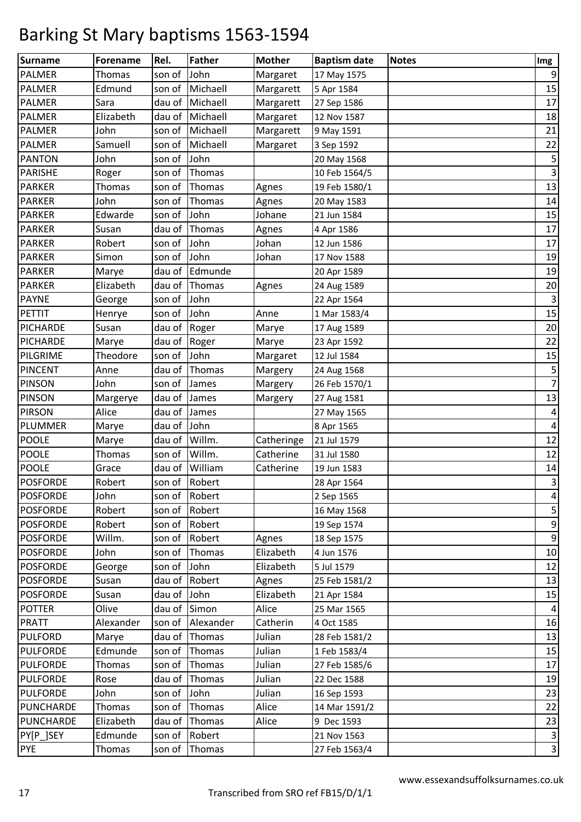| Surname          | <b>Forename</b> | Rel.         | <b>Father</b> | <b>Mother</b> | <b>Baptism date</b> | <b>Notes</b> | Img                       |
|------------------|-----------------|--------------|---------------|---------------|---------------------|--------------|---------------------------|
| <b>PALMER</b>    | Thomas          | son of       | John          | Margaret      | 17 May 1575         |              | $\boldsymbol{9}$          |
| <b>PALMER</b>    | Edmund          | son of       | Michaell      | Margarett     | 5 Apr 1584          |              | 15                        |
| <b>PALMER</b>    | Sara            | dau of       | Michaell      | Margarett     | 27 Sep 1586         |              | 17                        |
| <b>PALMER</b>    | Elizabeth       | dau of       | Michaell      | Margaret      | 12 Nov 1587         |              | 18                        |
| <b>PALMER</b>    | John            | son of       | Michaell      | Margarett     | 9 May 1591          |              | 21                        |
| <b>PALMER</b>    | Samuell         | son of       | Michaell      | Margaret      | 3 Sep 1592          |              | 22                        |
| <b>PANTON</b>    | John            | son of       | John          |               | 20 May 1568         |              | 5                         |
| <b>PARISHE</b>   | Roger           | son of       | Thomas        |               | 10 Feb 1564/5       |              | $\mathbf{3}$              |
| <b>PARKER</b>    | <b>Thomas</b>   | son of       | Thomas        | Agnes         | 19 Feb 1580/1       |              | 13                        |
| <b>PARKER</b>    | John            | son of       | Thomas        | Agnes         | 20 May 1583         |              | $14\,$                    |
| <b>PARKER</b>    | Edwarde         | son of       | John          | Johane        | 21 Jun 1584         |              | 15                        |
| <b>PARKER</b>    | Susan           | dau of       | Thomas        | Agnes         | 4 Apr 1586          |              | 17                        |
| <b>PARKER</b>    | Robert          | son of       | John          | Johan         | 12 Jun 1586         |              | 17                        |
| <b>PARKER</b>    | Simon           | son of       | John          | Johan         | 17 Nov 1588         |              | 19                        |
| <b>PARKER</b>    | Marye           | dau of       | Edmunde       |               | 20 Apr 1589         |              | 19                        |
| <b>PARKER</b>    | Elizabeth       | dau of       | Thomas        | Agnes         | 24 Aug 1589         |              | 20                        |
| <b>PAYNE</b>     | George          | son of       | John          |               | 22 Apr 1564         |              | $\ensuremath{\mathsf{3}}$ |
| PETTIT           | Henrye          | son of       | John          | Anne          | 1 Mar 1583/4        |              | 15                        |
| PICHARDE         | Susan           | dau of Roger |               | Marye         | 17 Aug 1589         |              | 20                        |
| <b>PICHARDE</b>  | Marye           | dau of       | Roger         | Marye         | 23 Apr 1592         |              | 22                        |
| PILGRIME         | Theodore        | son of       | John          | Margaret      | 12 Jul 1584         |              | 15                        |
| <b>PINCENT</b>   | Anne            | dau of       | Thomas        | Margery       | 24 Aug 1568         |              | 5                         |
| <b>PINSON</b>    | John            | son of       | James         | Margery       | 26 Feb 1570/1       |              | $\overline{7}$            |
| <b>PINSON</b>    | Margerye        | dau of       | James         | Margery       | 27 Aug 1581         |              | 13                        |
| <b>PIRSON</b>    | Alice           | dau of       | James         |               | 27 May 1565         |              | $\pmb{4}$                 |
| PLUMMER          | Marye           | dau of       | John          |               | 8 Apr 1565          |              | $\overline{\mathbf{r}}$   |
| <b>POOLE</b>     | Marye           | dau of       | Willm.        | Catheringe    | 21 Jul 1579         |              | 12                        |
| <b>POOLE</b>     | <b>Thomas</b>   | son of       | Willm.        | Catherine     | 31 Jul 1580         |              | 12                        |
| <b>POOLE</b>     | Grace           | dau of       | William       | Catherine     | 19 Jun 1583         |              | 14                        |
| <b>POSFORDE</b>  | Robert          |              | son of Robert |               | 28 Apr 1564         |              | $\mathbf{3}$              |
| <b>POSFORDE</b>  | John            |              | son of Robert |               | 2 Sep 1565          |              | $\overline{\mathbf{r}}$   |
| <b>POSFORDE</b>  | Robert          |              | son of Robert |               | 16 May 1568         |              | $\mathsf S$               |
| <b>POSFORDE</b>  | Robert          |              | son of Robert |               | 19 Sep 1574         |              | 9                         |
| <b>POSFORDE</b>  | Willm.          | son of       | Robert        | Agnes         | 18 Sep 1575         |              | $\boldsymbol{9}$          |
| <b>POSFORDE</b>  | John            | son of       | Thomas        | Elizabeth     | 4 Jun 1576          |              | 10                        |
| <b>POSFORDE</b>  | George          | son of       | John          | Elizabeth     | 5 Jul 1579          |              | 12                        |
| <b>POSFORDE</b>  | Susan           |              | dau of Robert | Agnes         | 25 Feb 1581/2       |              | 13                        |
| <b>POSFORDE</b>  | Susan           | dau of John  |               | Elizabeth     | 21 Apr 1584         |              | 15                        |
| <b>POTTER</b>    | Olive           | dau of       | Simon         | Alice         | 25 Mar 1565         |              | $\overline{a}$            |
| <b>PRATT</b>     | Alexander       | son of       | Alexander     | Catherin      | 4 Oct 1585          |              | 16                        |
| <b>PULFORD</b>   | Marye           | dau of       | Thomas        | Julian        | 28 Feb 1581/2       |              | 13                        |
| <b>PULFORDE</b>  | Edmunde         | son of       | Thomas        | Julian        | 1 Feb 1583/4        |              | 15                        |
| <b>PULFORDE</b>  | Thomas          | son of       | Thomas        | Julian        | 27 Feb 1585/6       |              | 17                        |
| <b>PULFORDE</b>  | Rose            | dau of       | Thomas        | Julian        | 22 Dec 1588         |              | 19                        |
| PULFORDE         | John            | son of John  |               | Julian        | 16 Sep 1593         |              | 23                        |
| <b>PUNCHARDE</b> | Thomas          | son of       | Thomas        | Alice         | 14 Mar 1591/2       |              | 22                        |
| <b>PUNCHARDE</b> | Elizabeth       | dau of       | Thomas        | Alice         | 9 Dec 1593          |              | 23                        |
| PY[P_]SEY        | Edmunde         | son of       | Robert        |               | 21 Nov 1563         |              | $\mathbf{3}$              |
| <b>PYE</b>       | Thomas          | son of       | Thomas        |               | 27 Feb 1563/4       |              | $\mathsf{3}$              |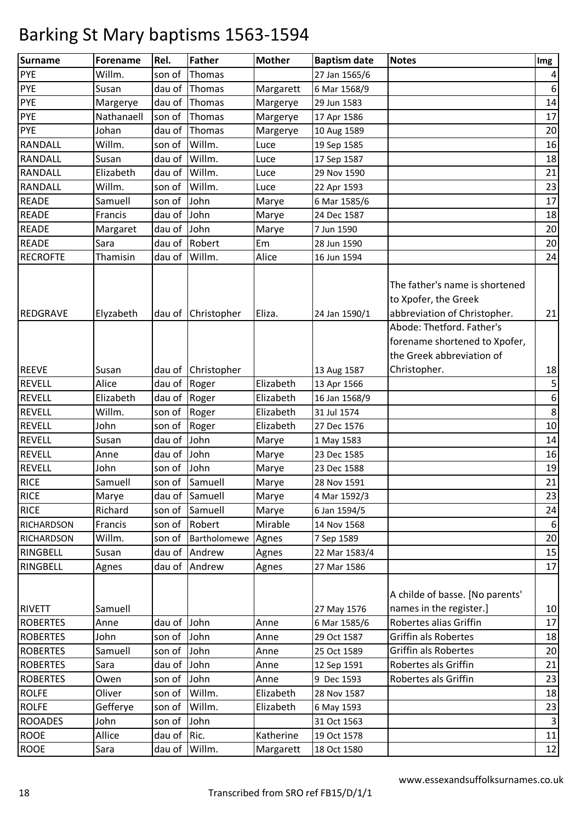| Surname                          | Forename        | Rel.         | Father             | <b>Mother</b> | <b>Baptism date</b> | <b>Notes</b>                                                                                                        | Img                     |
|----------------------------------|-----------------|--------------|--------------------|---------------|---------------------|---------------------------------------------------------------------------------------------------------------------|-------------------------|
| PYE                              | Willm.          | son of       | Thomas             |               | 27 Jan 1565/6       |                                                                                                                     | $\overline{\mathbf{r}}$ |
| <b>PYE</b>                       | Susan           | dau of       | Thomas             | Margarett     | 6 Mar 1568/9        |                                                                                                                     | $\boldsymbol{6}$        |
| <b>PYE</b>                       | Margerye        | dau of       | Thomas             | Margerye      | 29 Jun 1583         |                                                                                                                     | 14                      |
| <b>PYE</b>                       | Nathanaell      | son of       | Thomas             | Margerye      | 17 Apr 1586         |                                                                                                                     | 17                      |
| <b>PYE</b>                       | Johan           | dau of       | Thomas             | Margerye      | 10 Aug 1589         |                                                                                                                     | 20                      |
| RANDALL                          | Willm.          | son of       | Willm.             | Luce          | 19 Sep 1585         |                                                                                                                     | 16                      |
| <b>RANDALL</b>                   | Susan           | dau of       | Willm.             | Luce          | 17 Sep 1587         |                                                                                                                     | 18                      |
| RANDALL                          | Elizabeth       | dau of       | Willm.             | Luce          | 29 Nov 1590         |                                                                                                                     | 21                      |
| <b>RANDALL</b>                   | Willm.          | son of       | Willm.             | Luce          | 22 Apr 1593         |                                                                                                                     | 23                      |
| <b>READE</b>                     | Samuell         | son of       | John               | Marye         | 6 Mar 1585/6        |                                                                                                                     | 17                      |
| <b>READE</b>                     | Francis         | dau of       | John               | Marye         | 24 Dec 1587         |                                                                                                                     | 18                      |
| <b>READE</b>                     | Margaret        | dau of       | John               | Marye         | 7 Jun 1590          |                                                                                                                     | 20                      |
| <b>READE</b>                     | Sara            | dau of       | Robert             | Em            | 28 Jun 1590         |                                                                                                                     | 20                      |
| <b>RECROFTE</b>                  | Thamisin        | dau of       | Willm.             | Alice         | 16 Jun 1594         |                                                                                                                     | 24                      |
| <b>REDGRAVE</b>                  | Elyzabeth       | dau of       | Christopher        | Eliza.        | 24 Jan 1590/1       | The father's name is shortened<br>to Xpofer, the Greek<br>abbreviation of Christopher.<br>Abode: Thetford. Father's | 21                      |
| <b>REEVE</b>                     | Susan           |              | dau of Christopher |               | 13 Aug 1587         | forename shortened to Xpofer,<br>the Greek abbreviation of<br>Christopher.                                          | 18                      |
| <b>REVELL</b>                    | Alice           | dau of       | Roger              | Elizabeth     | 13 Apr 1566         |                                                                                                                     | 5                       |
| <b>REVELL</b>                    | Elizabeth       | dau of Roger |                    | Elizabeth     | 16 Jan 1568/9       |                                                                                                                     | $\boldsymbol{6}$        |
| <b>REVELL</b>                    | Willm.          | son of       | Roger              | Elizabeth     | 31 Jul 1574         |                                                                                                                     | $\bf 8$                 |
| <b>REVELL</b>                    | John            | son of       | Roger              | Elizabeth     | 27 Dec 1576         |                                                                                                                     | 10                      |
| <b>REVELL</b>                    | Susan           | dau of       | John               | Marye         | 1 May 1583          |                                                                                                                     | 14                      |
| <b>REVELL</b>                    | Anne            | dau of       | John               | Marye         | 23 Dec 1585         |                                                                                                                     | 16                      |
| REVELL                           | John            | son of       | John               | Marye         | 23 Dec 1588         |                                                                                                                     | 19                      |
| <b>RICE</b>                      | Samuell         |              | son of Samuell     | Marye         | 28 Nov 1591         |                                                                                                                     | 21                      |
| <b>RICE</b>                      | Marye           |              | dau of Samuell     | Marye         | 4 Mar 1592/3        |                                                                                                                     | 23                      |
| <b>RICE</b>                      | Richard         |              | son of Samuell     | Marye         | 6 Jan 1594/5        |                                                                                                                     | 24                      |
| <b>RICHARDSON</b>                | Francis         |              | son of Robert      | Mirable       | 14 Nov 1568         |                                                                                                                     | 6                       |
| <b>RICHARDSON</b>                | Willm.          | son of       | Bartholomewe       | Agnes         | 7 Sep 1589          |                                                                                                                     | 20                      |
| RINGBELL                         | Susan           | dau of       | Andrew             | Agnes         | 22 Mar 1583/4       |                                                                                                                     | 15                      |
| RINGBELL                         | Agnes           | dau of       | Andrew             | Agnes         | 27 Mar 1586         |                                                                                                                     | 17                      |
| <b>RIVETT</b><br><b>ROBERTES</b> | Samuell<br>Anne | dau of John  |                    |               | 27 May 1576         | A childe of basse. [No parents'<br>names in the register.]<br>Robertes alias Griffin                                | 10<br>17                |
|                                  |                 |              |                    | Anne          | 6 Mar 1585/6        | <b>Griffin als Robertes</b>                                                                                         |                         |
| <b>ROBERTES</b>                  | John            | son of John  |                    | Anne          | 29 Oct 1587         |                                                                                                                     | 18                      |
| <b>ROBERTES</b>                  | Samuell         | son of John  |                    | Anne          | 25 Oct 1589         | Griffin als Robertes                                                                                                | 20                      |
| <b>ROBERTES</b>                  | Sara            | dau of John  |                    | Anne          | 12 Sep 1591         | Robertes als Griffin                                                                                                | 21                      |
| <b>ROBERTES</b>                  | Owen            | son of       | John               | Anne          | 9 Dec 1593          | Robertes als Griffin                                                                                                | 23                      |
| <b>ROLFE</b>                     | Oliver          | son of       | Willm.             | Elizabeth     | 28 Nov 1587         |                                                                                                                     | 18                      |
| <b>ROLFE</b>                     | Gefferye        | son of       | Willm.             | Elizabeth     | 6 May 1593          |                                                                                                                     | 23                      |
| <b>ROOADES</b>                   | John            | son of       | John               |               | 31 Oct 1563         |                                                                                                                     | $\mathbf{3}$            |
| <b>ROOE</b>                      | Allice          | dau of Ric.  |                    | Katherine     | 19 Oct 1578         |                                                                                                                     | 11                      |
| <b>ROOE</b>                      | Sara            | dau of       | Willm.             | Margarett     | 18 Oct 1580         |                                                                                                                     | 12                      |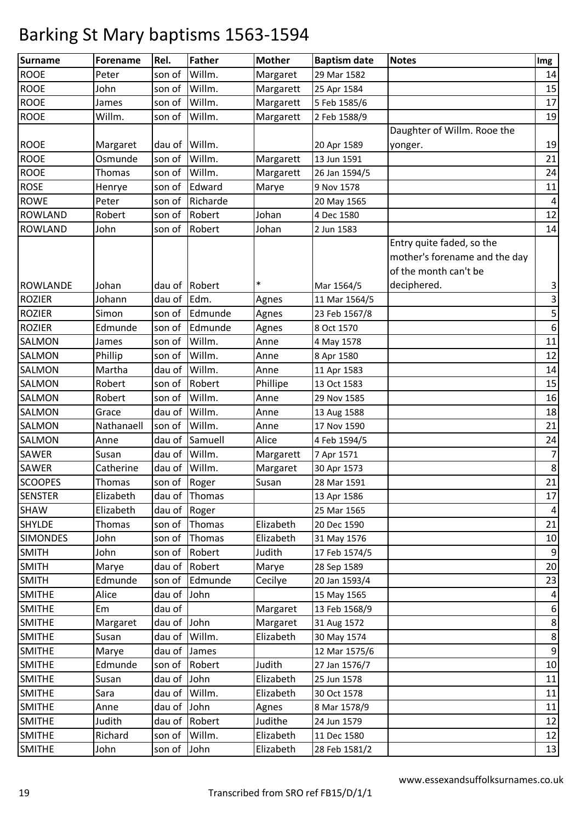| <b>ROOE</b><br>Willm.<br>son of<br>Peter<br>Margaret<br>29 Mar 1582<br><b>ROOE</b><br>Willm.<br>John<br>son of<br>Margarett<br>25 Apr 1584 | 14                      |
|--------------------------------------------------------------------------------------------------------------------------------------------|-------------------------|
|                                                                                                                                            |                         |
|                                                                                                                                            | 15                      |
| <b>ROOE</b><br>Willm.<br>Margarett<br>5 Feb 1585/6<br>son of<br>James                                                                      | 17                      |
| Willm.<br><b>ROOE</b><br>Willm.<br>son of<br>Margarett<br>2 Feb 1588/9                                                                     | 19                      |
| Daughter of Willm. Rooe the                                                                                                                |                         |
| <b>ROOE</b><br>Willm.<br>Margaret<br>dau of<br>20 Apr 1589<br>yonger.                                                                      | 19                      |
| <b>ROOE</b><br>Willm.<br>Osmunde<br>son of<br>13 Jun 1591<br>Margarett                                                                     | 21                      |
| <b>ROOE</b><br>Willm.<br><b>Thomas</b><br>son of<br>Margarett<br>26 Jan 1594/5                                                             | 24                      |
| <b>ROSE</b><br>son of<br>Edward<br>Marye<br>9 Nov 1578<br>Henrye                                                                           | 11                      |
| <b>ROWE</b><br>Richarde<br>Peter<br>son of<br>20 May 1565                                                                                  | $\pmb{4}$               |
| Johan<br><b>ROWLAND</b><br>Robert<br>Robert<br>son of<br>4 Dec 1580                                                                        | 12                      |
| Robert<br>Johan<br><b>ROWLAND</b><br>John<br>son of<br>2 Jun 1583                                                                          | 14                      |
| Entry quite faded, so the                                                                                                                  |                         |
| mother's forename and the day                                                                                                              |                         |
| of the month can't be                                                                                                                      |                         |
| *<br><b>ROWLANDE</b><br>Robert<br>deciphered.<br>Johan<br>dau of<br>Mar 1564/5                                                             | 3                       |
| <b>ROZIER</b><br>Johann<br>dau of<br>Edm.<br>Agnes<br>11 Mar 1564/5                                                                        | 3                       |
| <b>ROZIER</b><br>Edmunde<br>Simon<br>son of<br>Agnes<br>23 Feb 1567/8                                                                      | 5                       |
| Edmunde<br><b>ROZIER</b><br>Edmunde<br>son of<br>Agnes<br>8 Oct 1570                                                                       | $\boldsymbol{6}$        |
| Willm.<br>SALMON<br>son of<br>Anne<br>James<br>4 May 1578                                                                                  | 11                      |
| Willm.<br>SALMON<br>Phillip<br>son of<br>Anne<br>8 Apr 1580                                                                                | 12                      |
| Willm.<br>SALMON<br>Martha<br>dau of<br>Anne<br>11 Apr 1583                                                                                | $14\,$                  |
| SALMON<br>Robert<br>Robert<br>Phillipe<br>son of<br>13 Oct 1583                                                                            | 15                      |
| Willm.<br>SALMON<br>Robert<br>son of<br>Anne<br>29 Nov 1585                                                                                | 16                      |
| Willm.<br>SALMON<br>Grace<br>dau of<br>Anne<br>13 Aug 1588                                                                                 | 18                      |
| Willm.<br>SALMON<br>Nathanaell<br>son of<br>Anne<br>17 Nov 1590                                                                            | 21                      |
| SALMON<br>dau of<br>Samuell<br>Alice<br>Anne<br>4 Feb 1594/5                                                                               | 24                      |
| Willm.<br><b>SAWER</b><br>Susan<br>dau of<br>Margarett<br>7 Apr 1571                                                                       | $\overline{7}$          |
| Willm.<br><b>SAWER</b><br>Catherine<br>dau of<br>Margaret<br>30 Apr 1573                                                                   | $\bf 8$                 |
| <b>SCOOPES</b><br>Susan<br>Thomas<br>son of Roger<br>28 Mar 1591                                                                           | 21                      |
| <b>SENSTER</b><br>Elizabeth<br>dau of Thomas<br>13 Apr 1586                                                                                | 17                      |
| SHAW<br>Elizabeth<br>dau of<br>Roger<br>25 Mar 1565                                                                                        | $\overline{\mathbf{4}}$ |
| <b>SHYLDE</b><br>Elizabeth<br>Thomas<br>son of<br>Thomas<br>20 Dec 1590                                                                    | 21                      |
| <b>SIMONDES</b><br>John<br>Elizabeth<br>son of<br>Thomas<br>31 May 1576                                                                    | 10                      |
| <b>SMITH</b><br>Judith<br>John<br>Robert<br>son of<br>17 Feb 1574/5                                                                        | $\boldsymbol{9}$        |
| Robert<br><b>SMITH</b><br>Marye<br>dau of<br>Marye<br>28 Sep 1589                                                                          | 20                      |
| <b>SMITH</b><br>Edmunde<br>son of<br>Edmunde<br>Cecilye<br>20 Jan 1593/4                                                                   | 23                      |
| <b>SMITHE</b><br>Alice<br>dau of<br>John<br>15 May 1565                                                                                    | 4                       |
| <b>SMITHE</b><br>Em<br>dau of<br>Margaret<br>13 Feb 1568/9                                                                                 | $\boldsymbol{6}$        |
| <b>SMITHE</b><br>dau of<br>John<br>Margaret<br>Margaret<br>31 Aug 1572                                                                     | $\,8\,$                 |
| Willm.<br><b>SMITHE</b><br>dau of<br>Elizabeth<br>Susan<br>30 May 1574                                                                     | 8                       |
| <b>SMITHE</b><br>dau of<br>James<br>Marye<br>12 Mar 1575/6                                                                                 | $\boldsymbol{9}$        |
| <b>SMITHE</b><br>Judith<br>Edmunde<br>Robert<br>son of<br>27 Jan 1576/7                                                                    | 10                      |
| John<br><b>SMITHE</b><br>Elizabeth<br>dau of<br>25 Jun 1578<br>Susan                                                                       | 11                      |
| <b>SMITHE</b><br>Willm.<br>Sara<br>dau of<br>Elizabeth<br>30 Oct 1578                                                                      | 11                      |
| John<br><b>SMITHE</b><br>dau of<br>8 Mar 1578/9<br>Anne<br>Agnes                                                                           | 11                      |
| Robert<br><b>SMITHE</b><br>Judith<br>dau of<br>Judithe<br>24 Jun 1579                                                                      | 12                      |
| Willm.<br><b>SMITHE</b><br>Richard<br>Elizabeth<br>11 Dec 1580<br>son of                                                                   | 12                      |
| <b>SMITHE</b><br>John<br>John<br>Elizabeth<br>son of<br>28 Feb 1581/2                                                                      | 13                      |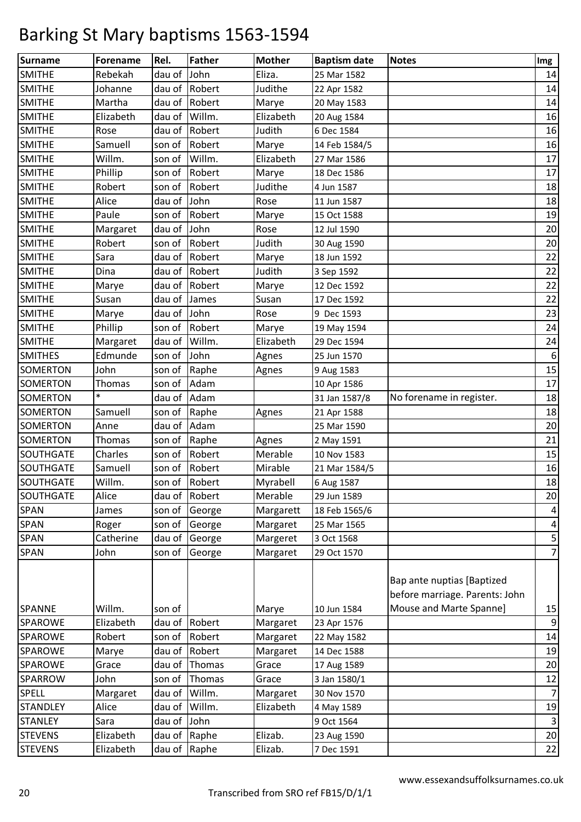| <b>Surname</b>   | <b>Forename</b> | Rel.         | <b>Father</b> | <b>Mother</b> | <b>Baptism date</b> | <b>Notes</b>                                                 | Img            |
|------------------|-----------------|--------------|---------------|---------------|---------------------|--------------------------------------------------------------|----------------|
| <b>SMITHE</b>    | Rebekah         | dau of John  |               | Eliza.        | 25 Mar 1582         |                                                              | 14             |
| <b>SMITHE</b>    | Johanne         | dau of       | Robert        | Judithe       | 22 Apr 1582         |                                                              | 14             |
| <b>SMITHE</b>    | Martha          | dau of       | Robert        | Marye         | 20 May 1583         |                                                              | 14             |
| <b>SMITHE</b>    | Elizabeth       | dau of       | Willm.        | Elizabeth     | 20 Aug 1584         |                                                              | 16             |
| <b>SMITHE</b>    | Rose            | dau of       | Robert        | Judith        | 6 Dec 1584          |                                                              | 16             |
| <b>SMITHE</b>    | Samuell         | son of       | Robert        | Marye         | 14 Feb 1584/5       |                                                              | 16             |
| <b>SMITHE</b>    | Willm.          | son of       | Willm.        | Elizabeth     | 27 Mar 1586         |                                                              | 17             |
| <b>SMITHE</b>    | Phillip         | son of       | Robert        | Marye         | 18 Dec 1586         |                                                              | 17             |
| <b>SMITHE</b>    | Robert          | son of       | Robert        | Judithe       | 4 Jun 1587          |                                                              | 18             |
| <b>SMITHE</b>    | Alice           | dau of       | John          | Rose          | 11 Jun 1587         |                                                              | 18             |
| <b>SMITHE</b>    | Paule           | son of       | Robert        | Marye         | 15 Oct 1588         |                                                              | 19             |
| <b>SMITHE</b>    | Margaret        | dau of       | John          | Rose          | 12 Jul 1590         |                                                              | 20             |
| <b>SMITHE</b>    | Robert          | son of       | Robert        | Judith        | 30 Aug 1590         |                                                              | 20             |
| <b>SMITHE</b>    | Sara            | dau of       | Robert        | Marye         | 18 Jun 1592         |                                                              | 22             |
| <b>SMITHE</b>    | Dina            | dau of       | Robert        | Judith        | 3 Sep 1592          |                                                              | 22             |
| <b>SMITHE</b>    | Marye           | dau of       | Robert        | Marye         | 12 Dec 1592         |                                                              | 22             |
| <b>SMITHE</b>    | Susan           | dau of       | James         | Susan         | 17 Dec 1592         |                                                              | 22             |
| <b>SMITHE</b>    | Marye           | dau of John  |               | Rose          | 9 Dec 1593          |                                                              | 23             |
| <b>SMITHE</b>    | Phillip         | son of       | Robert        | Marye         | 19 May 1594         |                                                              | 24             |
| <b>SMITHE</b>    | Margaret        | dau of       | Willm.        | Elizabeth     | 29 Dec 1594         |                                                              | 24             |
| <b>SMITHES</b>   | Edmunde         | son of       | John          | Agnes         | 25 Jun 1570         |                                                              | 6              |
| SOMERTON         | John            | son of       | Raphe         | Agnes         | 9 Aug 1583          |                                                              | 15             |
| SOMERTON         | Thomas          | son of       | Adam          |               | 10 Apr 1586         |                                                              | 17             |
| SOMERTON         | $\ast$          | dau of       | Adam          |               | 31 Jan 1587/8       | No forename in register.                                     | 18             |
| SOMERTON         | Samuell         | son of       | Raphe         | Agnes         | 21 Apr 1588         |                                                              | 18             |
| SOMERTON         | Anne            | dau of       | Adam          |               | 25 Mar 1590         |                                                              | 20             |
| <b>SOMERTON</b>  | Thomas          | son of       | Raphe         | Agnes         | 2 May 1591          |                                                              | 21             |
| SOUTHGATE        | Charles         | son of       | Robert        | Merable       | 10 Nov 1583         |                                                              | 15             |
| SOUTHGATE        | Samuell         | son of       | Robert        | Mirable       | 21 Mar 1584/5       |                                                              | 16             |
| SOUTHGATE        | Willm.          |              | son of Robert | Myrabell      | 6 Aug 1587          |                                                              | 18             |
| <b>SOUTHGATE</b> | Alice           |              | dau of Robert | Merable       | 29 Jun 1589         |                                                              | 20             |
| <b>SPAN</b>      | James           |              | son of George | Margarett     | 18 Feb 1565/6       |                                                              | 4              |
| <b>SPAN</b>      | Roger           |              | son of George | Margaret      | 25 Mar 1565         |                                                              | 4              |
| SPAN             | Catherine       | dau of       | George        | Margeret      | 3 Oct 1568          |                                                              | $\mathsf S$    |
| <b>SPAN</b>      | John            | son of       | George        | Margaret      | 29 Oct 1570         |                                                              | $\overline{7}$ |
|                  |                 |              |               |               |                     | Bap ante nuptias [Baptized<br>before marriage. Parents: John |                |
| <b>SPANNE</b>    | Willm.          | son of       |               | Marye         | 10 Jun 1584         | Mouse and Marte Spanne]                                      | 15             |
| <b>SPAROWE</b>   | Elizabeth       | dau of       | Robert        | Margaret      | 23 Apr 1576         |                                                              | 9              |
| <b>SPAROWE</b>   | Robert          | son of       | Robert        | Margaret      | 22 May 1582         |                                                              | 14             |
| SPAROWE          | Marye           | dau of       | Robert        | Margaret      | 14 Dec 1588         |                                                              | 19             |
| SPAROWE          | Grace           | dau of       | Thomas        | Grace         | 17 Aug 1589         |                                                              | 20             |
| SPARROW          | John            | son of       | Thomas        | Grace         | 3 Jan 1580/1        |                                                              | 12             |
| <b>SPELL</b>     | Margaret        | dau of       | Willm.        | Margaret      | 30 Nov 1570         |                                                              | $\overline{7}$ |
| <b>STANDLEY</b>  | Alice           | dau of       | Willm.        | Elizabeth     | 4 May 1589          |                                                              | 19             |
| <b>STANLEY</b>   | Sara            | dau of John  |               |               | 9 Oct 1564          |                                                              | 3              |
| <b>STEVENS</b>   | Elizabeth       | dau of Raphe |               | Elizab.       | 23 Aug 1590         |                                                              | 20             |
| <b>STEVENS</b>   | Elizabeth       | dau of Raphe |               | Elizab.       | 7 Dec 1591          |                                                              | 22             |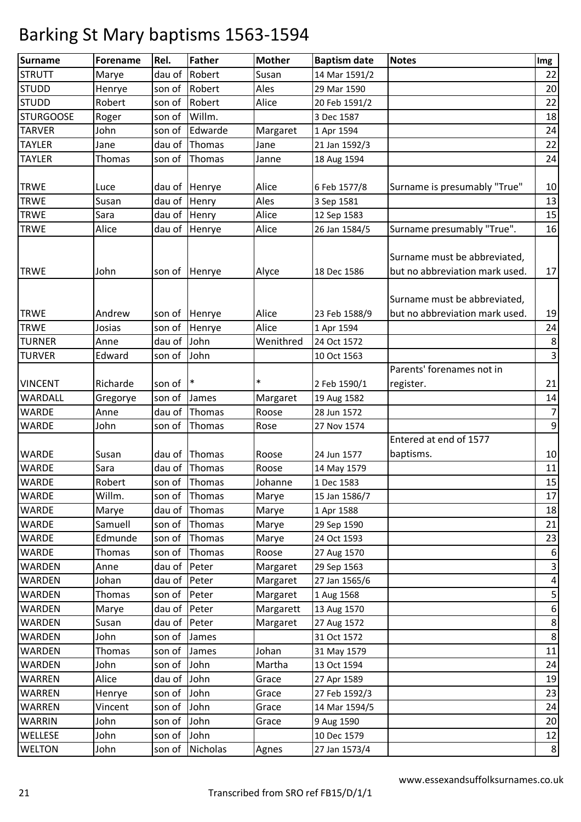| <b>Surname</b>   | <b>Forename</b> | Rel.        | <b>Father</b>  | <b>Mother</b> | <b>Baptism date</b> | <b>Notes</b>                                                   | Img                     |
|------------------|-----------------|-------------|----------------|---------------|---------------------|----------------------------------------------------------------|-------------------------|
| <b>STRUTT</b>    | Marye           | dau of      | Robert         | Susan         | 14 Mar 1591/2       |                                                                | 22                      |
| <b>STUDD</b>     | Henrye          | son of      | Robert         | Ales          | 29 Mar 1590         |                                                                | 20                      |
| <b>STUDD</b>     | Robert          | son of      | Robert         | Alice         | 20 Feb 1591/2       |                                                                | 22                      |
| <b>STURGOOSE</b> | Roger           | son of      | Willm.         |               | 3 Dec 1587          |                                                                | 18                      |
| <b>TARVER</b>    | John            | son of      | Edwarde        | Margaret      | 1 Apr 1594          |                                                                | 24                      |
| <b>TAYLER</b>    | Jane            | dau of      | Thomas         | Jane          | 21 Jan 1592/3       |                                                                | 22                      |
| <b>TAYLER</b>    | <b>Thomas</b>   | son of      | Thomas         | Janne         | 18 Aug 1594         |                                                                | 24                      |
|                  |                 |             |                |               |                     |                                                                |                         |
| <b>TRWE</b>      | Luce            |             | dau of Henrye  | Alice         | 6 Feb 1577/8        | Surname is presumably "True"                                   | 10                      |
| <b>TRWE</b>      | Susan           | dau of      | Henry          | Ales          | 3 Sep 1581          |                                                                | 13                      |
| <b>TRWE</b>      | Sara            | dau of      | Henry          | Alice         | 12 Sep 1583         |                                                                | 15                      |
| <b>TRWE</b>      | Alice           | dau of      | Henrye         | Alice         | 26 Jan 1584/5       | Surname presumably "True".                                     | 16                      |
| <b>TRWE</b>      | John            | son of      | Henrye         | Alyce         | 18 Dec 1586         | Surname must be abbreviated,<br>but no abbreviation mark used. | 17                      |
| <b>TRWE</b>      | Andrew          | son of      | Henrye         | Alice         | 23 Feb 1588/9       | Surname must be abbreviated,<br>but no abbreviation mark used. | 19                      |
| <b>TRWE</b>      | Josias          | son of      | Henrye         | Alice         | 1 Apr 1594          |                                                                | 24                      |
| <b>TURNER</b>    | Anne            | dau of      | John           | Wenithred     | 24 Oct 1572         |                                                                | $\bf 8$                 |
| <b>TURVER</b>    | Edward          | son of      | John           |               | 10 Oct 1563         |                                                                | $\overline{\mathbf{3}}$ |
|                  |                 |             |                |               |                     | Parents' forenames not in                                      |                         |
| <b>VINCENT</b>   | Richarde        | son of      | $\mathsf{I}^*$ | $\ast$        | 2 Feb 1590/1        | register.                                                      | 21                      |
| WARDALL          | Gregorye        | son of      | James          | Margaret      | 19 Aug 1582         |                                                                | $14\,$                  |
| <b>WARDE</b>     | Anne            | dau of      | Thomas         | Roose         | 28 Jun 1572         |                                                                | $\overline{7}$          |
| <b>WARDE</b>     | John            | son of      | Thomas         | Rose          | 27 Nov 1574         |                                                                | $\boldsymbol{9}$        |
|                  |                 |             |                |               |                     | Entered at end of 1577                                         |                         |
| <b>WARDE</b>     | Susan           |             | dau of Thomas  | Roose         | 24 Jun 1577         | baptisms.                                                      | 10                      |
| <b>WARDE</b>     | Sara            | dau of      | Thomas         | Roose         | 14 May 1579         |                                                                | 11                      |
| <b>WARDE</b>     | Robert          |             | son of Thomas  | Johanne       | 1 Dec 1583          |                                                                | 15                      |
| <b>WARDE</b>     | Willm.          |             | son of Thomas  | Marye         | 15 Jan 1586/7       |                                                                | 17                      |
| <b>WARDE</b>     | Marye           | dau of      | Thomas         | Marye         | 1 Apr 1588          |                                                                | 18                      |
| <b>WARDE</b>     | Samuell         | son of      | Thomas         | Marye         | 29 Sep 1590         |                                                                | 21                      |
| <b>WARDE</b>     | Edmunde         | son of      | Thomas         | Marye         | 24 Oct 1593         |                                                                | 23                      |
| <b>WARDE</b>     | <b>Thomas</b>   | son of      | Thomas         | Roose         | 27 Aug 1570         |                                                                | $\boldsymbol{6}$        |
| <b>WARDEN</b>    | Anne            | dau of      | Peter          | Margaret      | 29 Sep 1563         |                                                                | $\mathbf{3}$            |
| <b>WARDEN</b>    | Johan           | dau of      | Peter          | Margaret      | 27 Jan 1565/6       |                                                                | $\overline{\mathbf{r}}$ |
| <b>WARDEN</b>    | <b>Thomas</b>   | son of      | Peter          | Margaret      | 1 Aug 1568          |                                                                | 5                       |
| <b>WARDEN</b>    | Marye           | dau of      | Peter          | Margarett     | 13 Aug 1570         |                                                                | $\boldsymbol{6}$        |
| <b>WARDEN</b>    | Susan           | dau of      | Peter          | Margaret      | 27 Aug 1572         |                                                                | $\bf 8$                 |
| <b>WARDEN</b>    | John            | son of      | James          |               | 31 Oct 1572         |                                                                | $\bf 8$                 |
| <b>WARDEN</b>    | <b>Thomas</b>   | son of      | James          | Johan         | 31 May 1579         |                                                                | 11                      |
| WARDEN           | John            | son of      | John           | Martha        | 13 Oct 1594         |                                                                | 24                      |
| <b>WARREN</b>    | Alice           | dau of John |                | Grace         | 27 Apr 1589         |                                                                | 19                      |
| <b>WARREN</b>    | Henrye          | son of      | John           | Grace         | 27 Feb 1592/3       |                                                                | 23                      |
| <b>WARREN</b>    | Vincent         | son of      | John           | Grace         | 14 Mar 1594/5       |                                                                | 24                      |
| <b>WARRIN</b>    | John            | son of      | John           | Grace         | 9 Aug 1590          |                                                                | 20                      |
| WELLESE          | John            | son of      | John           |               | 10 Dec 1579         |                                                                | 12                      |
| <b>WELTON</b>    | John            | son of      | Nicholas       | Agnes         | 27 Jan 1573/4       |                                                                | $\bf 8$                 |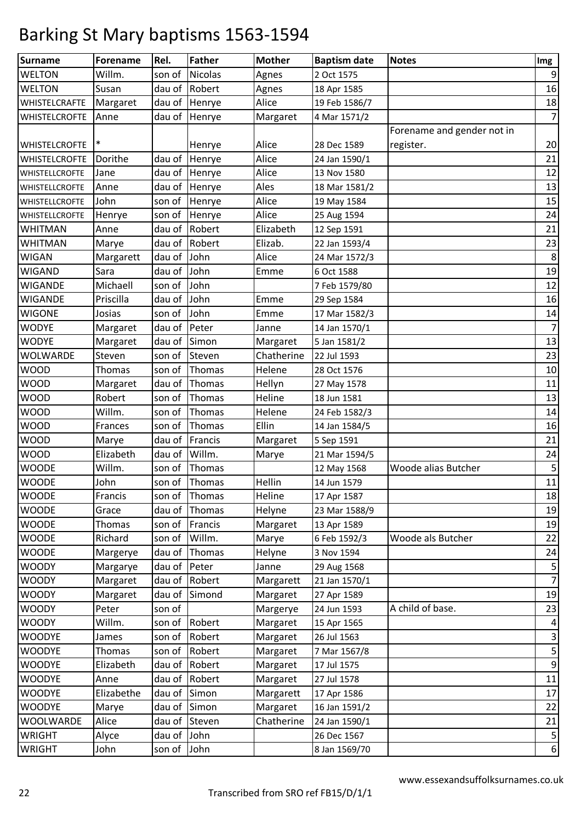| <b>Surname</b>        | <b>Forename</b> | Rel.        | <b>Father</b> | <b>Mother</b> | <b>Baptism date</b> | <b>Notes</b>               | Img                       |
|-----------------------|-----------------|-------------|---------------|---------------|---------------------|----------------------------|---------------------------|
| <b>WELTON</b>         | Willm.          | son of      | Nicolas       | Agnes         | 2 Oct 1575          |                            | 9                         |
| <b>WELTON</b>         | Susan           | dau of      | Robert        | Agnes         | 18 Apr 1585         |                            | 16                        |
| WHISTELCRAFTE         | Margaret        | dau of      | Henrye        | Alice         | 19 Feb 1586/7       |                            | 18                        |
| <b>WHISTELCROFTE</b>  | Anne            | dau of      | Henrye        | Margaret      | 4 Mar 1571/2        |                            | $\overline{7}$            |
|                       |                 |             |               |               |                     | Forename and gender not in |                           |
| <b>WHISTELCROFTE</b>  |                 |             | Henrye        | Alice         | 28 Dec 1589         | register.                  | 20                        |
| <b>WHISTELCROFTE</b>  | Dorithe         | dau of      | Henrye        | Alice         | 24 Jan 1590/1       |                            | 21                        |
| <b>WHISTELLCROFTE</b> | Jane            | dau of      | Henrye        | Alice         | 13 Nov 1580         |                            | 12                        |
| <b>WHISTELLCROFTE</b> | Anne            | dau of      | Henrye        | Ales          | 18 Mar 1581/2       |                            | 13                        |
| <b>WHISTELLCROFTE</b> | John            | son of      | Henrye        | Alice         | 19 May 1584         |                            | 15                        |
| <b>WHISTELLCROFTE</b> | Henrye          | son of      | Henrye        | Alice         | 25 Aug 1594         |                            | 24                        |
| <b>WHITMAN</b>        | Anne            | dau of      | Robert        | Elizabeth     | 12 Sep 1591         |                            | 21                        |
| <b>WHITMAN</b>        | Marye           | dau of      | Robert        | Elizab.       | 22 Jan 1593/4       |                            | 23                        |
| <b>WIGAN</b>          | Margarett       | dau of      | John          | Alice         | 24 Mar 1572/3       |                            | 8                         |
| <b>WIGAND</b>         | Sara            | dau of      | John          | Emme          | 6 Oct 1588          |                            | 19                        |
| <b>WIGANDE</b>        | Michaell        | son of      | John          |               | 7 Feb 1579/80       |                            | 12                        |
| <b>WIGANDE</b>        | Priscilla       | dau of      | John          | Emme          | 29 Sep 1584         |                            | 16                        |
| <b>WIGONE</b>         | Josias          | son of      | John          | Emme          | 17 Mar 1582/3       |                            | 14                        |
| <b>WODYE</b>          | Margaret        | dau of      | Peter         | Janne         | 14 Jan 1570/1       |                            | $\overline{7}$            |
| <b>WODYE</b>          | Margaret        | dau of      | Simon         | Margaret      | 5 Jan 1581/2        |                            | 13                        |
| WOLWARDE              | Steven          | son of      | Steven        | Chatherine    | 22 Jul 1593         |                            | 23                        |
| <b>WOOD</b>           | Thomas          | son of      | Thomas        | Helene        | 28 Oct 1576         |                            | 10                        |
| <b>WOOD</b>           | Margaret        | dau of      | Thomas        | Hellyn        | 27 May 1578         |                            | 11                        |
| <b>WOOD</b>           | Robert          | son of      | Thomas        | Heline        | 18 Jun 1581         |                            | 13                        |
| <b>WOOD</b>           | Willm.          | son of      | Thomas        | Helene        | 24 Feb 1582/3       |                            | 14                        |
| <b>WOOD</b>           | Frances         | son of      | Thomas        | Ellin         | 14 Jan 1584/5       |                            | 16                        |
| <b>WOOD</b>           | Marye           | dau of      | Francis       | Margaret      | 5 Sep 1591          |                            | 21                        |
| <b>WOOD</b>           | Elizabeth       | dau of      | Willm.        | Marye         | 21 Mar 1594/5       |                            | 24                        |
| <b>WOODE</b>          | Willm.          | son of      | Thomas        |               | 12 May 1568         | Woode alias Butcher        | 5                         |
| <b>WOODE</b>          | John            | son of      | Thomas        | Hellin        | 14 Jun 1579         |                            | 11                        |
| <b>WOODE</b>          | Francis         |             | son of Thomas | Heline        | 17 Apr 1587         |                            | 18                        |
| <b>WOODE</b>          | Grace           | dau of      | Thomas        | Helyne        | 23 Mar 1588/9       |                            | 19                        |
| <b>WOODE</b>          | Thomas          | son of      | Francis       | Margaret      | 13 Apr 1589         |                            | 19                        |
| <b>WOODE</b>          | Richard         | son of      | Willm.        | Marye         | 6 Feb 1592/3        | Woode als Butcher          | 22                        |
| <b>WOODE</b>          | Margerye        | dau of      | Thomas        | Helyne        | 3 Nov 1594          |                            | 24                        |
| <b>WOODY</b>          | Margarye        | dau of      | Peter         | Janne         | 29 Aug 1568         |                            | 5                         |
| <b>WOODY</b>          | Margaret        |             | dau of Robert | Margarett     | 21 Jan 1570/1       |                            | $\overline{7}$            |
| <b>WOODY</b>          | Margaret        | dau of      | Simond        | Margaret      | 27 Apr 1589         |                            | 19                        |
| <b>WOODY</b>          | Peter           | son of      |               | Margerye      | 24 Jun 1593         | A child of base.           | 23                        |
| <b>WOODY</b>          | Willm.          | son of      | Robert        | Margaret      | 15 Apr 1565         |                            | 4                         |
| <b>WOODYE</b>         | James           | son of      | Robert        | Margaret      | 26 Jul 1563         |                            | $\ensuremath{\mathsf{3}}$ |
| <b>WOODYE</b>         | Thomas          | son of      | Robert        | Margaret      | 7 Mar 1567/8        |                            | 5                         |
| <b>WOODYE</b>         | Elizabeth       | dau of      | Robert        | Margaret      | 17 Jul 1575         |                            | 9                         |
| <b>WOODYE</b>         | Anne            | dau of      | Robert        | Margaret      | 27 Jul 1578         |                            | 11                        |
| <b>WOODYE</b>         | Elizabethe      | dau of      | Simon         | Margarett     | 17 Apr 1586         |                            | 17                        |
| <b>WOODYE</b>         | Marye           | dau of      | Simon         | Margaret      | 16 Jan 1591/2       |                            | 22                        |
| WOOLWARDE             | Alice           | dau of      | Steven        | Chatherine    | 24 Jan 1590/1       |                            | 21                        |
| <b>WRIGHT</b>         | Alyce           | dau of      | John          |               | 26 Dec 1567         |                            | $\mathsf S$               |
| <b>WRIGHT</b>         | John            | son of John |               |               | 8 Jan 1569/70       |                            | 6                         |